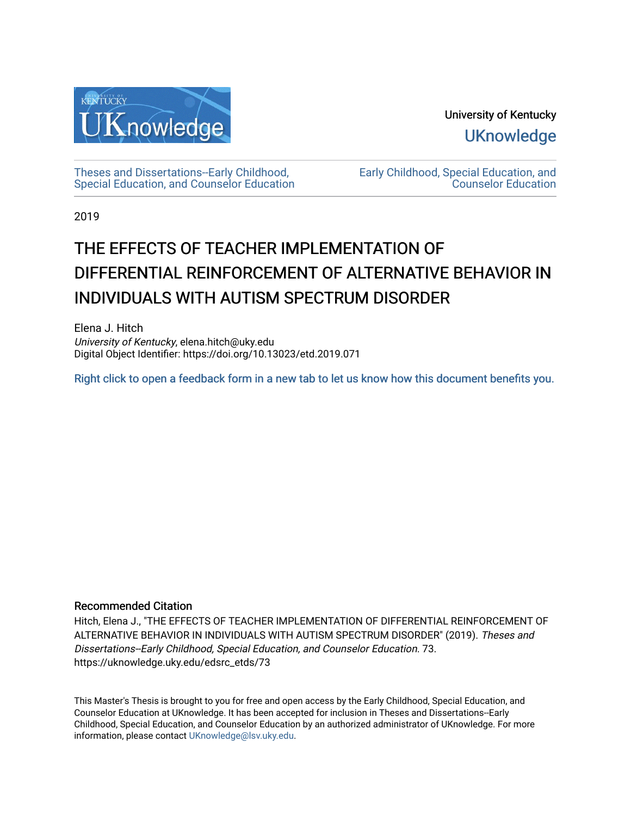

University of Kentucky **UKnowledge** 

[Theses and Dissertations--Early Childhood,](https://uknowledge.uky.edu/edsrc_etds)  [Special Education, and Counselor Education](https://uknowledge.uky.edu/edsrc_etds) [Early Childhood, Special Education, and](https://uknowledge.uky.edu/edsrc)  [Counselor Education](https://uknowledge.uky.edu/edsrc) 

2019

# THE EFFECTS OF TEACHER IMPLEMENTATION OF DIFFERENTIAL REINFORCEMENT OF ALTERNATIVE BEHAVIOR IN INDIVIDUALS WITH AUTISM SPECTRUM DISORDER

Elena J. Hitch University of Kentucky, elena.hitch@uky.edu Digital Object Identifier: https://doi.org/10.13023/etd.2019.071

[Right click to open a feedback form in a new tab to let us know how this document benefits you.](https://uky.az1.qualtrics.com/jfe/form/SV_9mq8fx2GnONRfz7)

### Recommended Citation

Hitch, Elena J., "THE EFFECTS OF TEACHER IMPLEMENTATION OF DIFFERENTIAL REINFORCEMENT OF ALTERNATIVE BEHAVIOR IN INDIVIDUALS WITH AUTISM SPECTRUM DISORDER" (2019). Theses and Dissertations--Early Childhood, Special Education, and Counselor Education. 73. https://uknowledge.uky.edu/edsrc\_etds/73

This Master's Thesis is brought to you for free and open access by the Early Childhood, Special Education, and Counselor Education at UKnowledge. It has been accepted for inclusion in Theses and Dissertations--Early Childhood, Special Education, and Counselor Education by an authorized administrator of UKnowledge. For more information, please contact [UKnowledge@lsv.uky.edu](mailto:UKnowledge@lsv.uky.edu).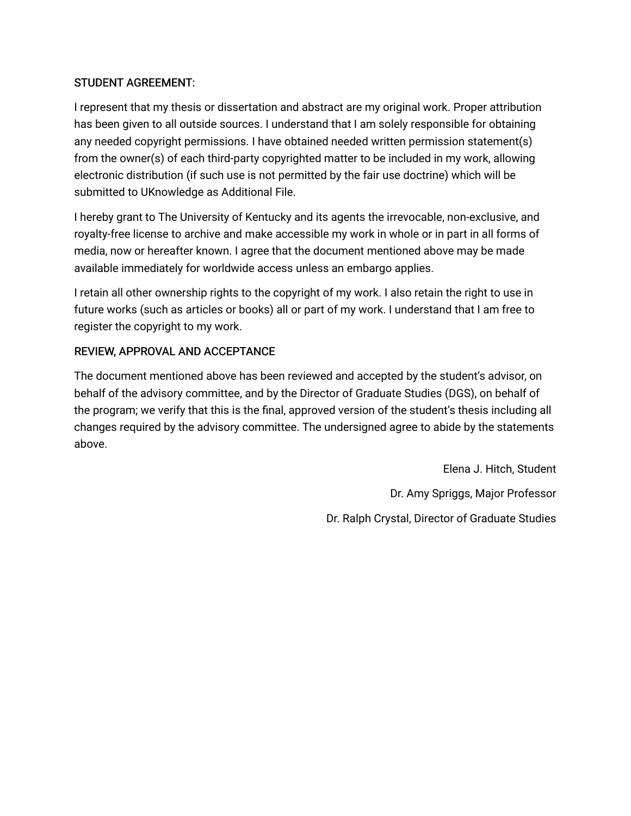# STUDENT AGREEMENT:

I represent that my thesis or dissertation and abstract are my original work. Proper attribution has been given to all outside sources. I understand that I am solely responsible for obtaining any needed copyright permissions. I have obtained needed written permission statement(s) from the owner(s) of each third-party copyrighted matter to be included in my work, allowing electronic distribution (if such use is not permitted by the fair use doctrine) which will be submitted to UKnowledge as Additional File.

I hereby grant to The University of Kentucky and its agents the irrevocable, non-exclusive, and royalty-free license to archive and make accessible my work in whole or in part in all forms of media, now or hereafter known. I agree that the document mentioned above may be made available immediately for worldwide access unless an embargo applies.

I retain all other ownership rights to the copyright of my work. I also retain the right to use in future works (such as articles or books) all or part of my work. I understand that I am free to register the copyright to my work.

# REVIEW, APPROVAL AND ACCEPTANCE

The document mentioned above has been reviewed and accepted by the student's advisor, on behalf of the advisory committee, and by the Director of Graduate Studies (DGS), on behalf of the program; we verify that this is the final, approved version of the student's thesis including all changes required by the advisory committee. The undersigned agree to abide by the statements above.

> Elena J. Hitch, Student Dr. Amy Spriggs, Major Professor Dr. Ralph Crystal, Director of Graduate Studies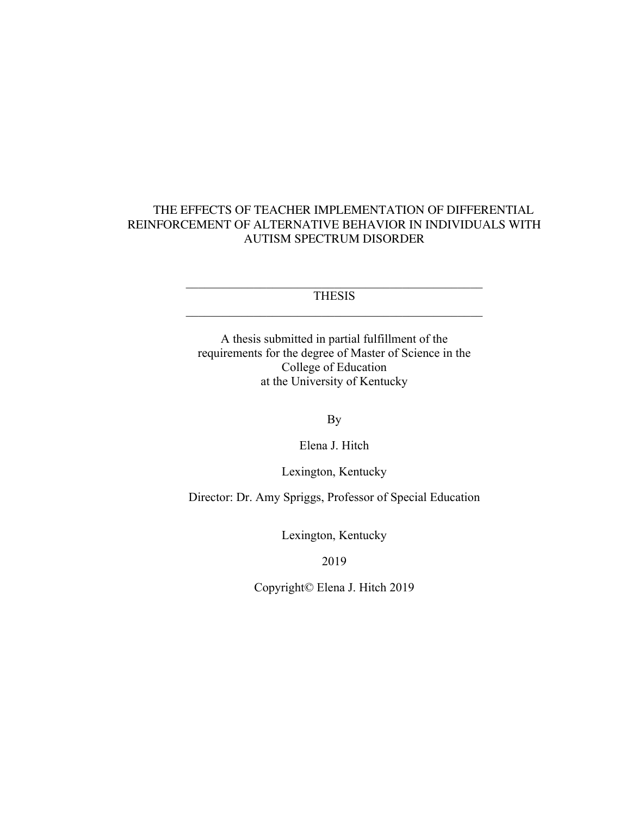# THE EFFECTS OF TEACHER IMPLEMENTATION OF DIFFERENTIAL REINFORCEMENT OF ALTERNATIVE BEHAVIOR IN INDIVIDUALS WITH AUTISM SPECTRUM DISORDER

**THESIS** 

A thesis submitted in partial fulfillment of the requirements for the degree of Master of Science in the College of Education at the University of Kentucky

By

Elena J. Hitch

Lexington, Kentucky

Director: Dr. Amy Spriggs, Professor of Special Education

Lexington, Kentucky

2019

Copyright© Elena J. Hitch 2019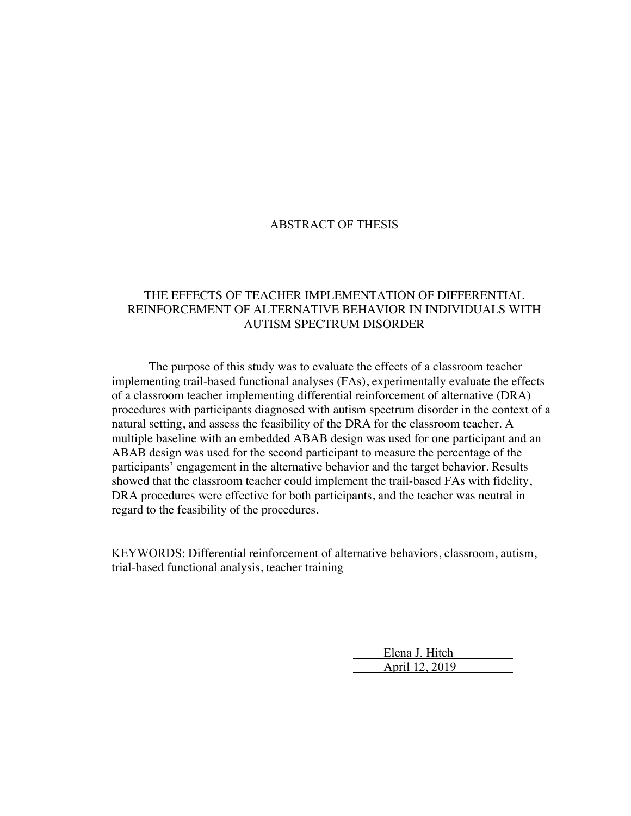#### ABSTRACT OF THESIS

## THE EFFECTS OF TEACHER IMPLEMENTATION OF DIFFERENTIAL REINFORCEMENT OF ALTERNATIVE BEHAVIOR IN INDIVIDUALS WITH AUTISM SPECTRUM DISORDER

The purpose of this study was to evaluate the effects of a classroom teacher implementing trail-based functional analyses (FAs), experimentally evaluate the effects of a classroom teacher implementing differential reinforcement of alternative (DRA) procedures with participants diagnosed with autism spectrum disorder in the context of a natural setting, and assess the feasibility of the DRA for the classroom teacher. A multiple baseline with an embedded ABAB design was used for one participant and an ABAB design was used for the second participant to measure the percentage of the participants' engagement in the alternative behavior and the target behavior. Results showed that the classroom teacher could implement the trail-based FAs with fidelity, DRA procedures were effective for both participants, and the teacher was neutral in regard to the feasibility of the procedures.

KEYWORDS: Differential reinforcement of alternative behaviors, classroom, autism, trial-based functional analysis, teacher training

> Elena J. Hitch April 12, 2019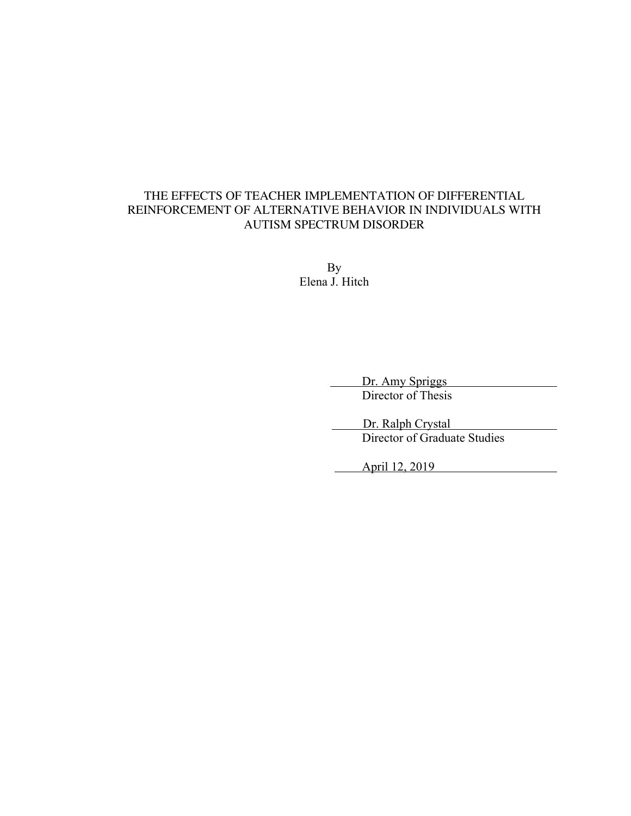# THE EFFECTS OF TEACHER IMPLEMENTATION OF DIFFERENTIAL REINFORCEMENT OF ALTERNATIVE BEHAVIOR IN INDIVIDUALS WITH AUTISM SPECTRUM DISORDER

By Elena J. Hitch

 Dr. Amy Spriggs Director of Thesis

Dr. Ralph Crystal Director of Graduate Studies

April 12, 2019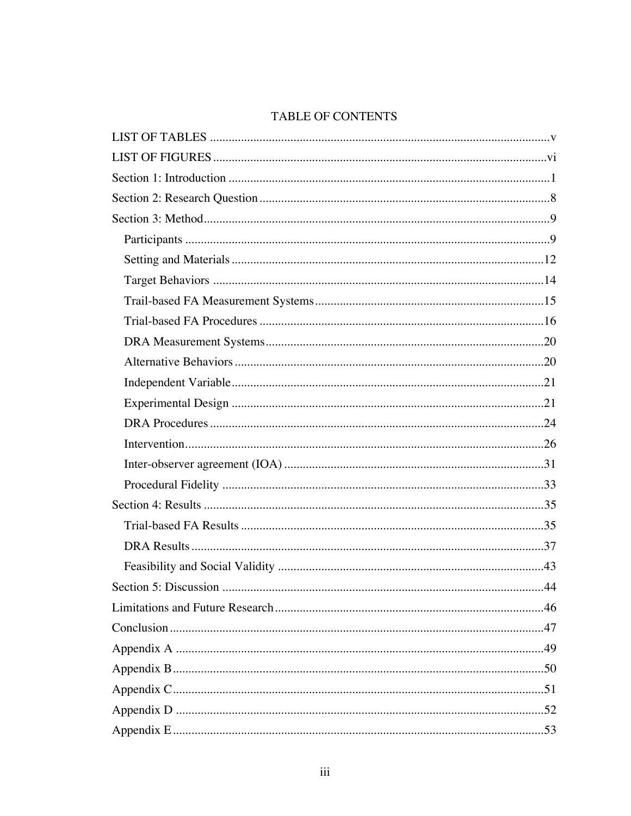# TABLE OF CONTENTS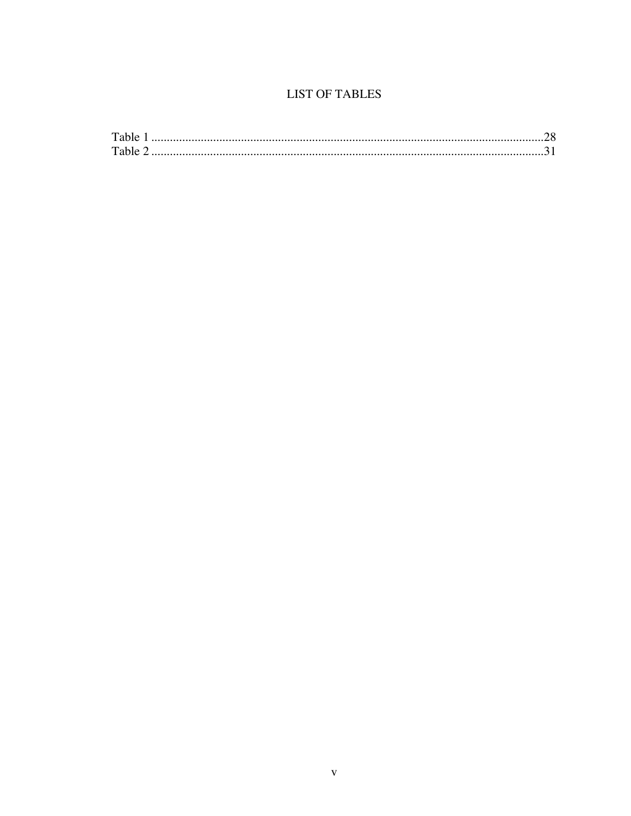# **LIST OF TABLES**

| Table |  |
|-------|--|
| Table |  |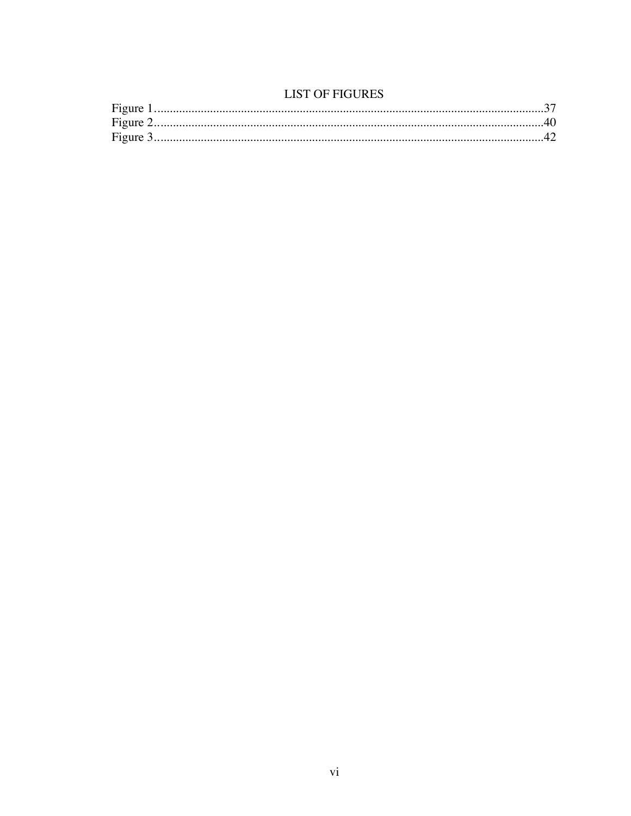# **LIST OF FIGURES**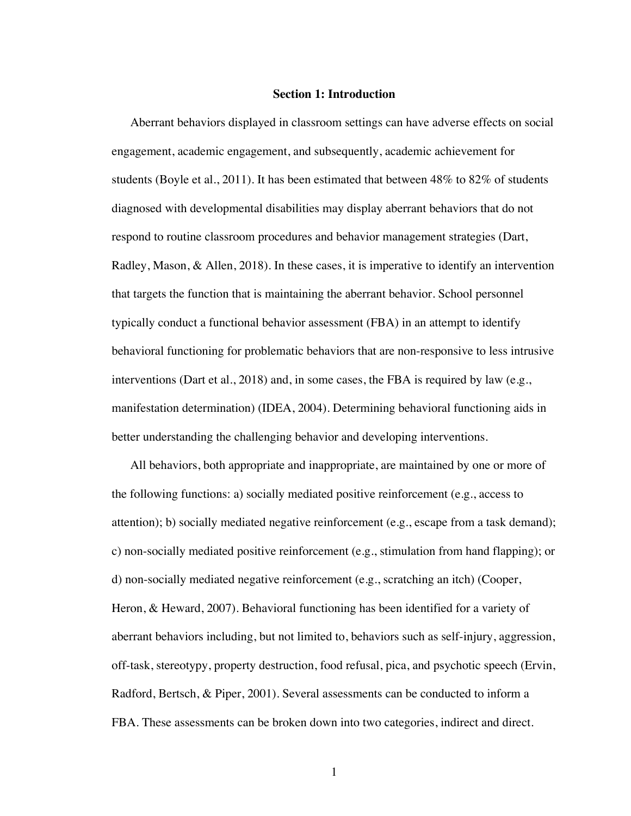#### **Section 1: Introduction**

Aberrant behaviors displayed in classroom settings can have adverse effects on social engagement, academic engagement, and subsequently, academic achievement for students (Boyle et al., 2011). It has been estimated that between 48% to 82% of students diagnosed with developmental disabilities may display aberrant behaviors that do not respond to routine classroom procedures and behavior management strategies (Dart, Radley, Mason, & Allen, 2018). In these cases, it is imperative to identify an intervention that targets the function that is maintaining the aberrant behavior. School personnel typically conduct a functional behavior assessment (FBA) in an attempt to identify behavioral functioning for problematic behaviors that are non-responsive to less intrusive interventions (Dart et al., 2018) and, in some cases, the FBA is required by law (e.g., manifestation determination) (IDEA, 2004). Determining behavioral functioning aids in better understanding the challenging behavior and developing interventions.

All behaviors, both appropriate and inappropriate, are maintained by one or more of the following functions: a) socially mediated positive reinforcement (e.g., access to attention); b) socially mediated negative reinforcement (e.g., escape from a task demand); c) non-socially mediated positive reinforcement (e.g., stimulation from hand flapping); or d) non-socially mediated negative reinforcement (e.g., scratching an itch) (Cooper, Heron, & Heward, 2007). Behavioral functioning has been identified for a variety of aberrant behaviors including, but not limited to, behaviors such as self-injury, aggression, off-task, stereotypy, property destruction, food refusal, pica, and psychotic speech (Ervin, Radford, Bertsch, & Piper, 2001). Several assessments can be conducted to inform a FBA. These assessments can be broken down into two categories, indirect and direct.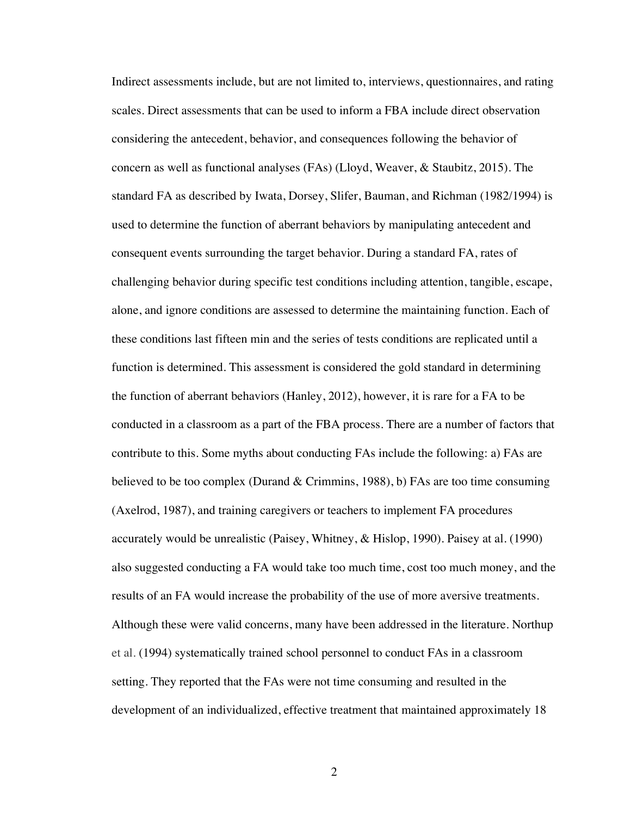Indirect assessments include, but are not limited to, interviews, questionnaires, and rating scales. Direct assessments that can be used to inform a FBA include direct observation considering the antecedent, behavior, and consequences following the behavior of concern as well as functional analyses (FAs) (Lloyd, Weaver, & Staubitz, 2015). The standard FA as described by Iwata, Dorsey, Slifer, Bauman, and Richman (1982/1994) is used to determine the function of aberrant behaviors by manipulating antecedent and consequent events surrounding the target behavior. During a standard FA, rates of challenging behavior during specific test conditions including attention, tangible, escape, alone, and ignore conditions are assessed to determine the maintaining function. Each of these conditions last fifteen min and the series of tests conditions are replicated until a function is determined. This assessment is considered the gold standard in determining the function of aberrant behaviors (Hanley, 2012), however, it is rare for a FA to be conducted in a classroom as a part of the FBA process. There are a number of factors that contribute to this. Some myths about conducting FAs include the following: a) FAs are believed to be too complex (Durand & Crimmins, 1988), b) FAs are too time consuming (Axelrod, 1987), and training caregivers or teachers to implement FA procedures accurately would be unrealistic (Paisey, Whitney, & Hislop, 1990). Paisey at al. (1990) also suggested conducting a FA would take too much time, cost too much money, and the results of an FA would increase the probability of the use of more aversive treatments. Although these were valid concerns, many have been addressed in the literature. Northup et al. (1994) systematically trained school personnel to conduct FAs in a classroom setting. They reported that the FAs were not time consuming and resulted in the development of an individualized, effective treatment that maintained approximately 18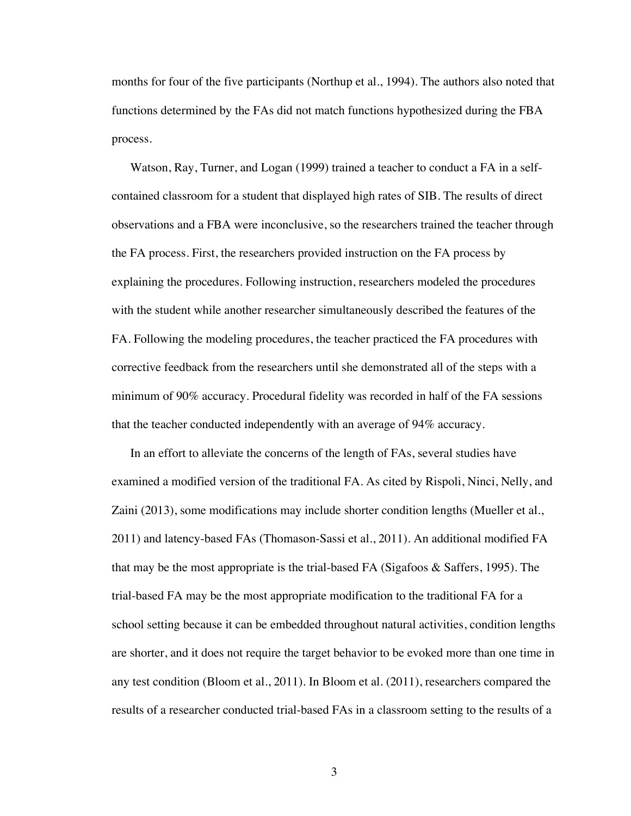months for four of the five participants (Northup et al., 1994). The authors also noted that functions determined by the FAs did not match functions hypothesized during the FBA process.

Watson, Ray, Turner, and Logan (1999) trained a teacher to conduct a FA in a selfcontained classroom for a student that displayed high rates of SIB. The results of direct observations and a FBA were inconclusive, so the researchers trained the teacher through the FA process. First, the researchers provided instruction on the FA process by explaining the procedures. Following instruction, researchers modeled the procedures with the student while another researcher simultaneously described the features of the FA. Following the modeling procedures, the teacher practiced the FA procedures with corrective feedback from the researchers until she demonstrated all of the steps with a minimum of 90% accuracy. Procedural fidelity was recorded in half of the FA sessions that the teacher conducted independently with an average of 94% accuracy.

In an effort to alleviate the concerns of the length of FAs, several studies have examined a modified version of the traditional FA. As cited by Rispoli, Ninci, Nelly, and Zaini (2013), some modifications may include shorter condition lengths (Mueller et al., 2011) and latency-based FAs (Thomason-Sassi et al., 2011). An additional modified FA that may be the most appropriate is the trial-based FA (Sigafoos & Saffers, 1995). The trial-based FA may be the most appropriate modification to the traditional FA for a school setting because it can be embedded throughout natural activities, condition lengths are shorter, and it does not require the target behavior to be evoked more than one time in any test condition (Bloom et al., 2011). In Bloom et al. (2011), researchers compared the results of a researcher conducted trial-based FAs in a classroom setting to the results of a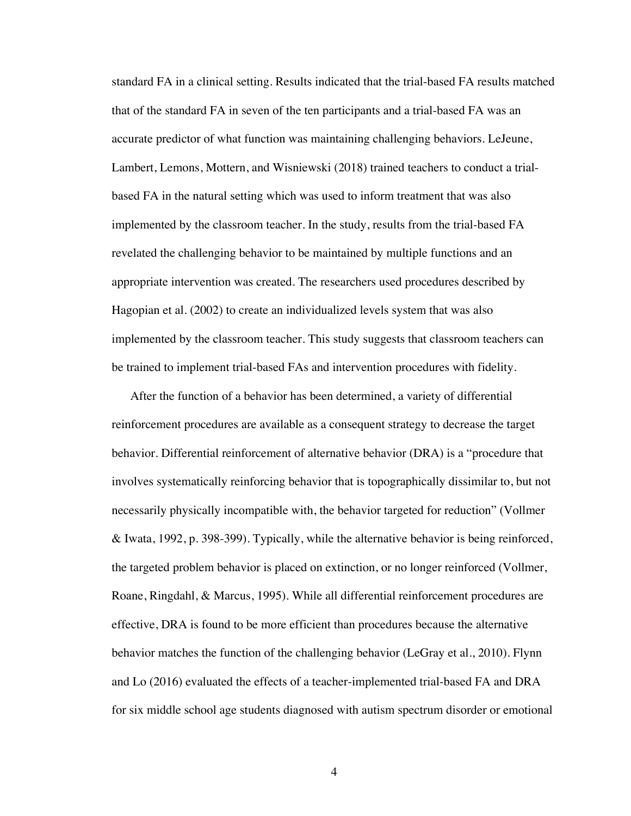standard FA in a clinical setting. Results indicated that the trial-based FA results matched that of the standard FA in seven of the ten participants and a trial-based FA was an accurate predictor of what function was maintaining challenging behaviors. LeJeune, Lambert, Lemons, Mottern, and Wisniewski (2018) trained teachers to conduct a trialbased FA in the natural setting which was used to inform treatment that was also implemented by the classroom teacher. In the study, results from the trial-based FA revelated the challenging behavior to be maintained by multiple functions and an appropriate intervention was created. The researchers used procedures described by Hagopian et al. (2002) to create an individualized levels system that was also implemented by the classroom teacher. This study suggests that classroom teachers can be trained to implement trial-based FAs and intervention procedures with fidelity.

After the function of a behavior has been determined, a variety of differential reinforcement procedures are available as a consequent strategy to decrease the target behavior. Differential reinforcement of alternative behavior (DRA) is a "procedure that involves systematically reinforcing behavior that is topographically dissimilar to, but not necessarily physically incompatible with, the behavior targeted for reduction" (Vollmer & Iwata, 1992, p. 398-399). Typically, while the alternative behavior is being reinforced, the targeted problem behavior is placed on extinction, or no longer reinforced (Vollmer, Roane, Ringdahl, & Marcus, 1995). While all differential reinforcement procedures are effective, DRA is found to be more efficient than procedures because the alternative behavior matches the function of the challenging behavior (LeGray et al., 2010). Flynn and Lo (2016) evaluated the effects of a teacher-implemented trial-based FA and DRA for six middle school age students diagnosed with autism spectrum disorder or emotional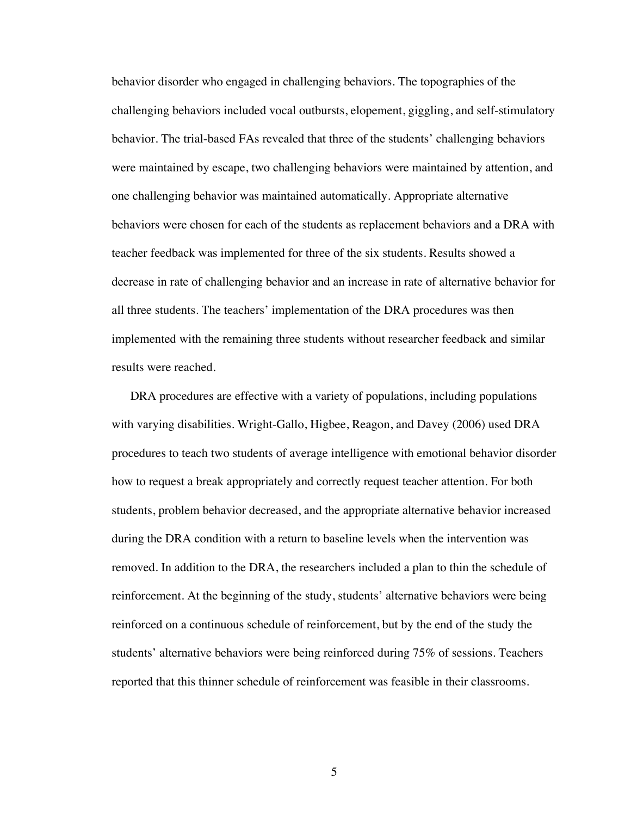behavior disorder who engaged in challenging behaviors. The topographies of the challenging behaviors included vocal outbursts, elopement, giggling, and self-stimulatory behavior. The trial-based FAs revealed that three of the students' challenging behaviors were maintained by escape, two challenging behaviors were maintained by attention, and one challenging behavior was maintained automatically. Appropriate alternative behaviors were chosen for each of the students as replacement behaviors and a DRA with teacher feedback was implemented for three of the six students. Results showed a decrease in rate of challenging behavior and an increase in rate of alternative behavior for all three students. The teachers' implementation of the DRA procedures was then implemented with the remaining three students without researcher feedback and similar results were reached.

DRA procedures are effective with a variety of populations, including populations with varying disabilities. Wright-Gallo, Higbee, Reagon, and Davey (2006) used DRA procedures to teach two students of average intelligence with emotional behavior disorder how to request a break appropriately and correctly request teacher attention. For both students, problem behavior decreased, and the appropriate alternative behavior increased during the DRA condition with a return to baseline levels when the intervention was removed. In addition to the DRA, the researchers included a plan to thin the schedule of reinforcement. At the beginning of the study, students' alternative behaviors were being reinforced on a continuous schedule of reinforcement, but by the end of the study the students' alternative behaviors were being reinforced during 75% of sessions. Teachers reported that this thinner schedule of reinforcement was feasible in their classrooms.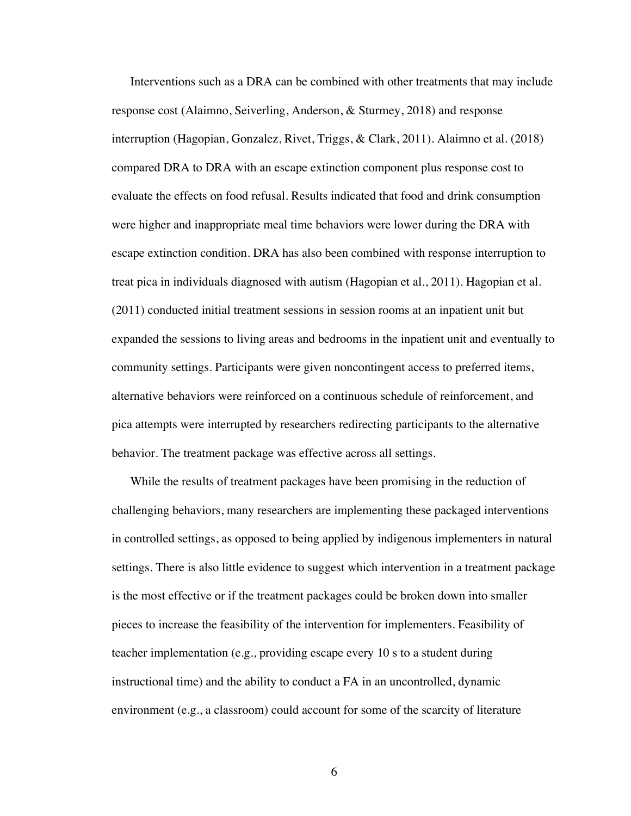Interventions such as a DRA can be combined with other treatments that may include response cost (Alaimno, Seiverling, Anderson, & Sturmey, 2018) and response interruption (Hagopian, Gonzalez, Rivet, Triggs, & Clark, 2011). Alaimno et al. (2018) compared DRA to DRA with an escape extinction component plus response cost to evaluate the effects on food refusal. Results indicated that food and drink consumption were higher and inappropriate meal time behaviors were lower during the DRA with escape extinction condition. DRA has also been combined with response interruption to treat pica in individuals diagnosed with autism (Hagopian et al., 2011). Hagopian et al. (2011) conducted initial treatment sessions in session rooms at an inpatient unit but expanded the sessions to living areas and bedrooms in the inpatient unit and eventually to community settings. Participants were given noncontingent access to preferred items, alternative behaviors were reinforced on a continuous schedule of reinforcement, and pica attempts were interrupted by researchers redirecting participants to the alternative behavior. The treatment package was effective across all settings.

While the results of treatment packages have been promising in the reduction of challenging behaviors, many researchers are implementing these packaged interventions in controlled settings, as opposed to being applied by indigenous implementers in natural settings. There is also little evidence to suggest which intervention in a treatment package is the most effective or if the treatment packages could be broken down into smaller pieces to increase the feasibility of the intervention for implementers. Feasibility of teacher implementation (e.g., providing escape every 10 s to a student during instructional time) and the ability to conduct a FA in an uncontrolled, dynamic environment (e.g., a classroom) could account for some of the scarcity of literature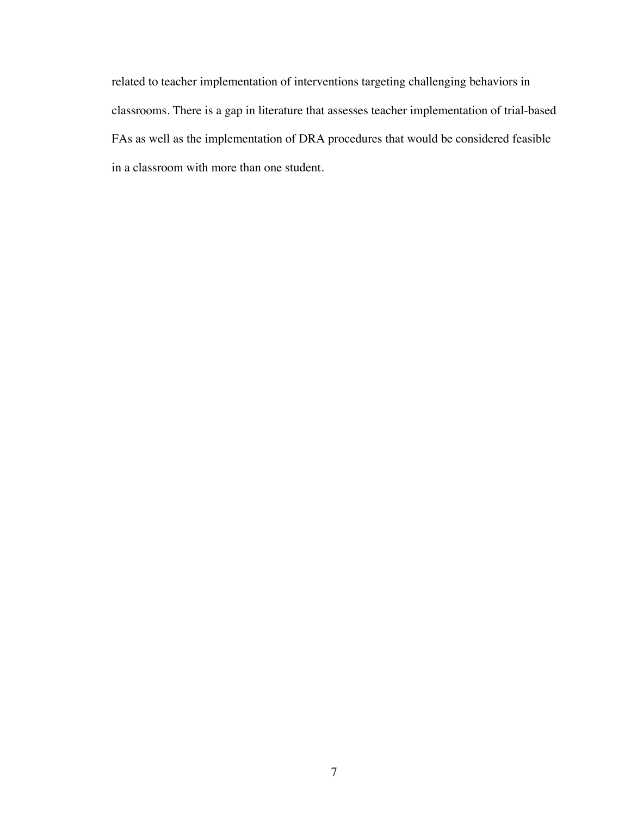related to teacher implementation of interventions targeting challenging behaviors in classrooms. There is a gap in literature that assesses teacher implementation of trial-based FAs as well as the implementation of DRA procedures that would be considered feasible in a classroom with more than one student.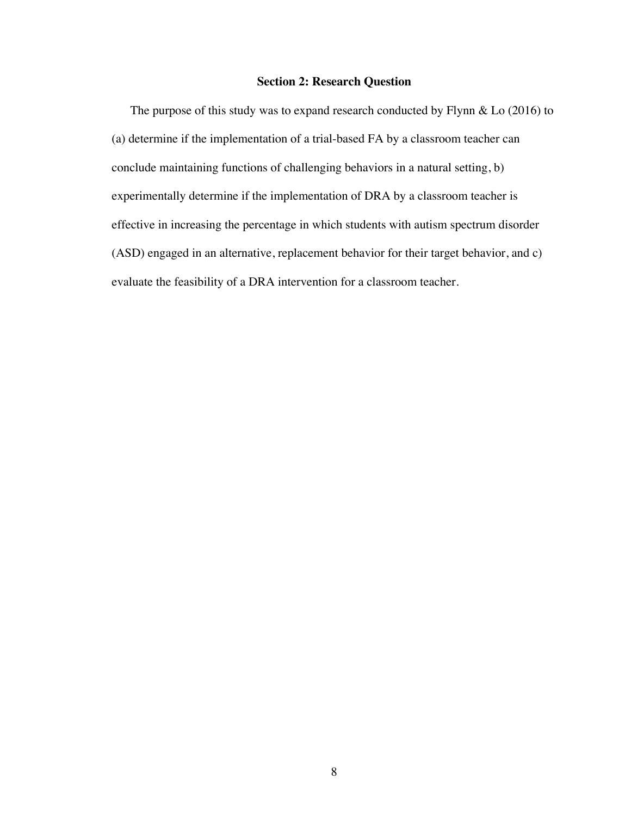#### **Section 2: Research Question**

The purpose of this study was to expand research conducted by Flynn & Lo (2016) to (a) determine if the implementation of a trial-based FA by a classroom teacher can conclude maintaining functions of challenging behaviors in a natural setting, b) experimentally determine if the implementation of DRA by a classroom teacher is effective in increasing the percentage in which students with autism spectrum disorder (ASD) engaged in an alternative, replacement behavior for their target behavior, and c) evaluate the feasibility of a DRA intervention for a classroom teacher.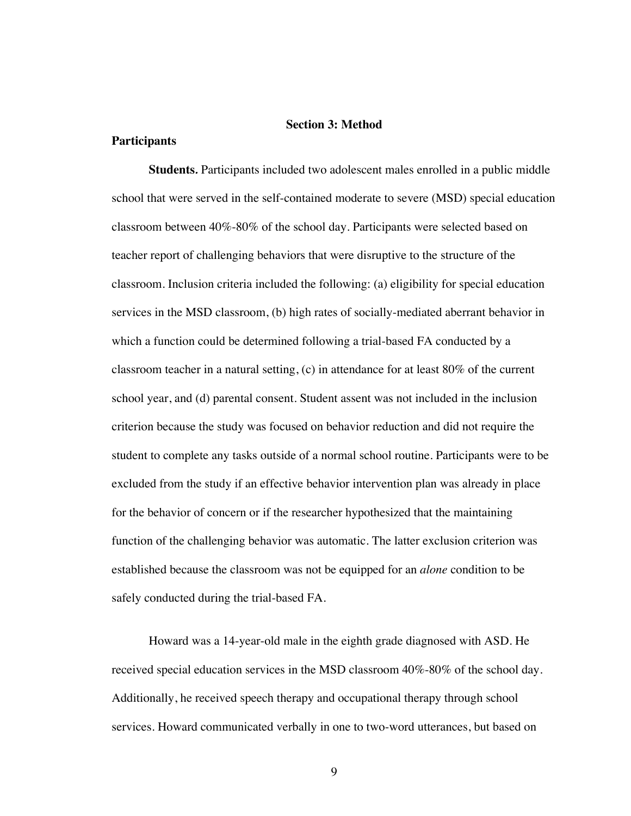#### **Section 3: Method**

#### **Participants**

**Students***.* Participants included two adolescent males enrolled in a public middle school that were served in the self-contained moderate to severe (MSD) special education classroom between 40%-80% of the school day. Participants were selected based on teacher report of challenging behaviors that were disruptive to the structure of the classroom. Inclusion criteria included the following: (a) eligibility for special education services in the MSD classroom, (b) high rates of socially-mediated aberrant behavior in which a function could be determined following a trial-based FA conducted by a classroom teacher in a natural setting, (c) in attendance for at least 80% of the current school year, and (d) parental consent. Student assent was not included in the inclusion criterion because the study was focused on behavior reduction and did not require the student to complete any tasks outside of a normal school routine. Participants were to be excluded from the study if an effective behavior intervention plan was already in place for the behavior of concern or if the researcher hypothesized that the maintaining function of the challenging behavior was automatic. The latter exclusion criterion was established because the classroom was not be equipped for an *alone* condition to be safely conducted during the trial-based FA.

Howard was a 14-year-old male in the eighth grade diagnosed with ASD. He received special education services in the MSD classroom 40%-80% of the school day. Additionally, he received speech therapy and occupational therapy through school services. Howard communicated verbally in one to two-word utterances, but based on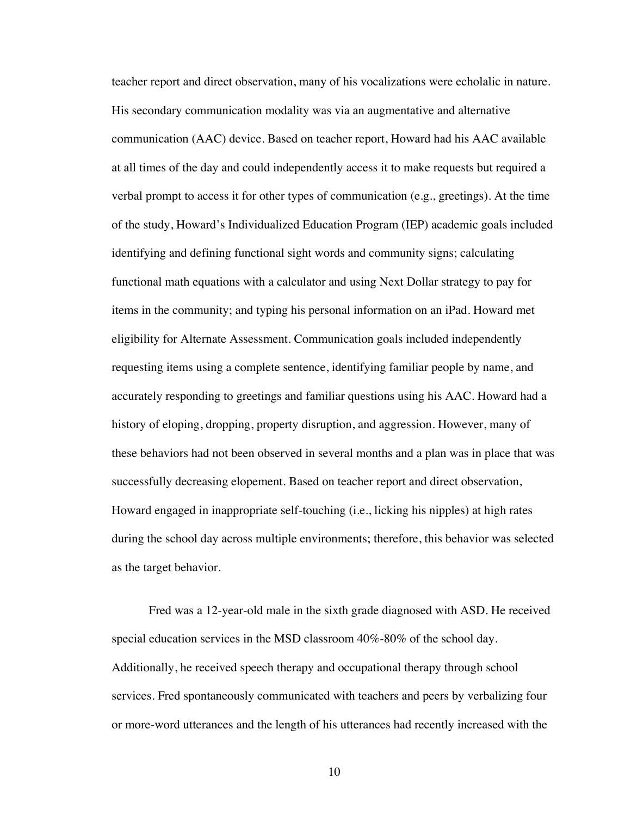teacher report and direct observation, many of his vocalizations were echolalic in nature. His secondary communication modality was via an augmentative and alternative communication (AAC) device. Based on teacher report, Howard had his AAC available at all times of the day and could independently access it to make requests but required a verbal prompt to access it for other types of communication (e.g., greetings). At the time of the study, Howard's Individualized Education Program (IEP) academic goals included identifying and defining functional sight words and community signs; calculating functional math equations with a calculator and using Next Dollar strategy to pay for items in the community; and typing his personal information on an iPad. Howard met eligibility for Alternate Assessment. Communication goals included independently requesting items using a complete sentence, identifying familiar people by name, and accurately responding to greetings and familiar questions using his AAC. Howard had a history of eloping, dropping, property disruption, and aggression. However, many of these behaviors had not been observed in several months and a plan was in place that was successfully decreasing elopement. Based on teacher report and direct observation, Howard engaged in inappropriate self-touching (i.e., licking his nipples) at high rates during the school day across multiple environments; therefore, this behavior was selected as the target behavior.

Fred was a 12-year-old male in the sixth grade diagnosed with ASD. He received special education services in the MSD classroom 40%-80% of the school day. Additionally, he received speech therapy and occupational therapy through school services. Fred spontaneously communicated with teachers and peers by verbalizing four or more-word utterances and the length of his utterances had recently increased with the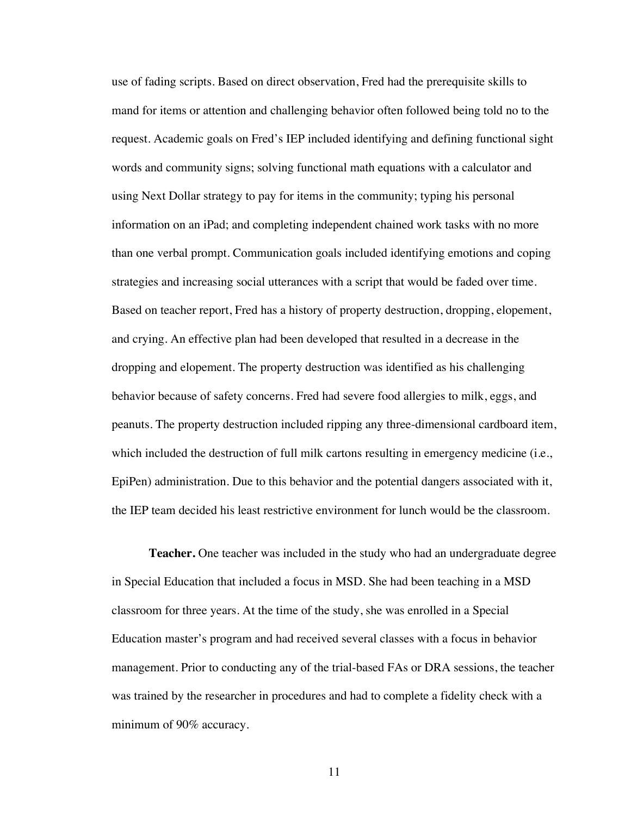use of fading scripts. Based on direct observation, Fred had the prerequisite skills to mand for items or attention and challenging behavior often followed being told no to the request. Academic goals on Fred's IEP included identifying and defining functional sight words and community signs; solving functional math equations with a calculator and using Next Dollar strategy to pay for items in the community; typing his personal information on an iPad; and completing independent chained work tasks with no more than one verbal prompt. Communication goals included identifying emotions and coping strategies and increasing social utterances with a script that would be faded over time. Based on teacher report, Fred has a history of property destruction, dropping, elopement, and crying. An effective plan had been developed that resulted in a decrease in the dropping and elopement. The property destruction was identified as his challenging behavior because of safety concerns. Fred had severe food allergies to milk, eggs, and peanuts. The property destruction included ripping any three-dimensional cardboard item, which included the destruction of full milk cartons resulting in emergency medicine (i.e., EpiPen) administration. Due to this behavior and the potential dangers associated with it, the IEP team decided his least restrictive environment for lunch would be the classroom.

**Teacher.** One teacher was included in the study who had an undergraduate degree in Special Education that included a focus in MSD. She had been teaching in a MSD classroom for three years. At the time of the study, she was enrolled in a Special Education master's program and had received several classes with a focus in behavior management. Prior to conducting any of the trial-based FAs or DRA sessions, the teacher was trained by the researcher in procedures and had to complete a fidelity check with a minimum of 90% accuracy.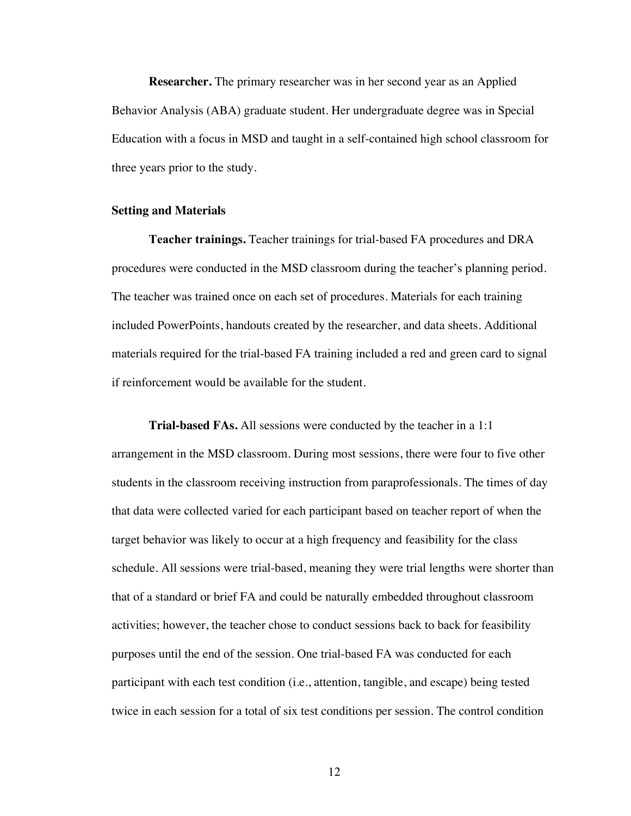**Researcher.** The primary researcher was in her second year as an Applied Behavior Analysis (ABA) graduate student. Her undergraduate degree was in Special Education with a focus in MSD and taught in a self-contained high school classroom for three years prior to the study.

#### **Setting and Materials**

**Teacher trainings.** Teacher trainings for trial-based FA procedures and DRA procedures were conducted in the MSD classroom during the teacher's planning period. The teacher was trained once on each set of procedures. Materials for each training included PowerPoints, handouts created by the researcher, and data sheets. Additional materials required for the trial-based FA training included a red and green card to signal if reinforcement would be available for the student.

**Trial-based FAs.** All sessions were conducted by the teacher in a 1:1 arrangement in the MSD classroom. During most sessions, there were four to five other students in the classroom receiving instruction from paraprofessionals. The times of day that data were collected varied for each participant based on teacher report of when the target behavior was likely to occur at a high frequency and feasibility for the class schedule. All sessions were trial-based, meaning they were trial lengths were shorter than that of a standard or brief FA and could be naturally embedded throughout classroom activities; however, the teacher chose to conduct sessions back to back for feasibility purposes until the end of the session. One trial-based FA was conducted for each participant with each test condition (i.e., attention, tangible, and escape) being tested twice in each session for a total of six test conditions per session. The control condition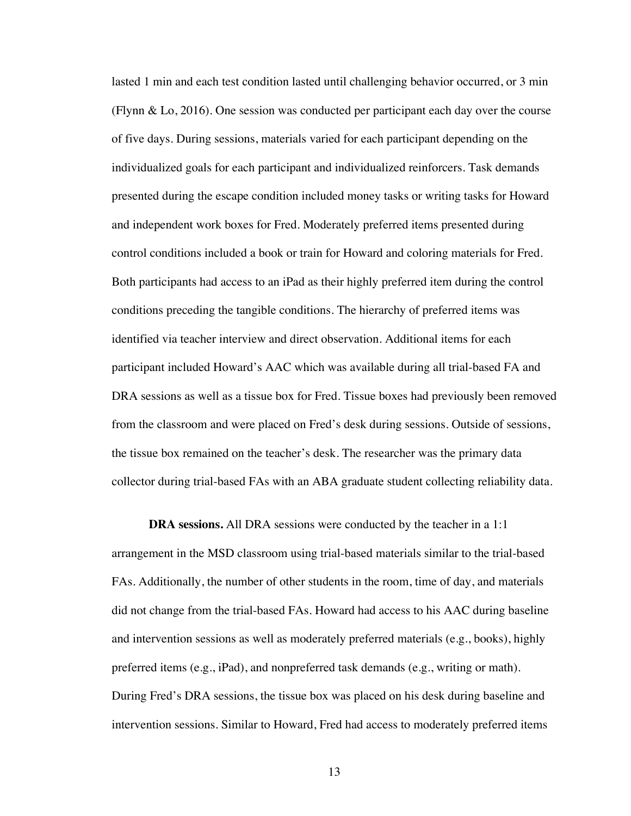lasted 1 min and each test condition lasted until challenging behavior occurred, or 3 min (Flynn & Lo, 2016). One session was conducted per participant each day over the course of five days. During sessions, materials varied for each participant depending on the individualized goals for each participant and individualized reinforcers. Task demands presented during the escape condition included money tasks or writing tasks for Howard and independent work boxes for Fred. Moderately preferred items presented during control conditions included a book or train for Howard and coloring materials for Fred. Both participants had access to an iPad as their highly preferred item during the control conditions preceding the tangible conditions. The hierarchy of preferred items was identified via teacher interview and direct observation. Additional items for each participant included Howard's AAC which was available during all trial-based FA and DRA sessions as well as a tissue box for Fred. Tissue boxes had previously been removed from the classroom and were placed on Fred's desk during sessions. Outside of sessions, the tissue box remained on the teacher's desk. The researcher was the primary data collector during trial-based FAs with an ABA graduate student collecting reliability data.

**DRA sessions.** All DRA sessions were conducted by the teacher in a 1:1 arrangement in the MSD classroom using trial-based materials similar to the trial-based FAs. Additionally, the number of other students in the room, time of day, and materials did not change from the trial-based FAs. Howard had access to his AAC during baseline and intervention sessions as well as moderately preferred materials (e.g., books), highly preferred items (e.g., iPad), and nonpreferred task demands (e.g., writing or math). During Fred's DRA sessions, the tissue box was placed on his desk during baseline and intervention sessions. Similar to Howard, Fred had access to moderately preferred items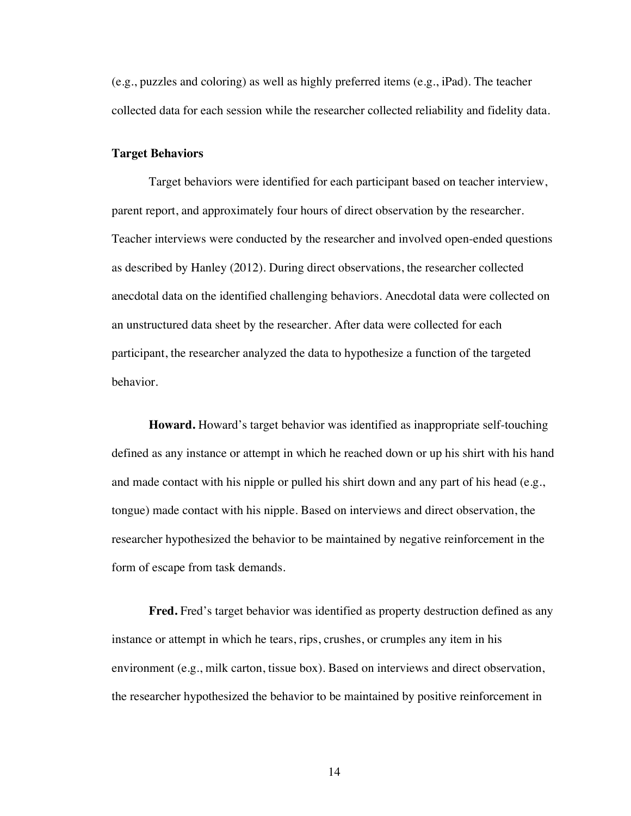(e.g., puzzles and coloring) as well as highly preferred items (e.g., iPad). The teacher collected data for each session while the researcher collected reliability and fidelity data.

#### **Target Behaviors**

Target behaviors were identified for each participant based on teacher interview, parent report, and approximately four hours of direct observation by the researcher. Teacher interviews were conducted by the researcher and involved open-ended questions as described by Hanley (2012). During direct observations, the researcher collected anecdotal data on the identified challenging behaviors. Anecdotal data were collected on an unstructured data sheet by the researcher. After data were collected for each participant, the researcher analyzed the data to hypothesize a function of the targeted behavior.

**Howard.** Howard's target behavior was identified as inappropriate self-touching defined as any instance or attempt in which he reached down or up his shirt with his hand and made contact with his nipple or pulled his shirt down and any part of his head (e.g., tongue) made contact with his nipple. Based on interviews and direct observation, the researcher hypothesized the behavior to be maintained by negative reinforcement in the form of escape from task demands.

**Fred.** Fred's target behavior was identified as property destruction defined as any instance or attempt in which he tears, rips, crushes, or crumples any item in his environment (e.g., milk carton, tissue box). Based on interviews and direct observation, the researcher hypothesized the behavior to be maintained by positive reinforcement in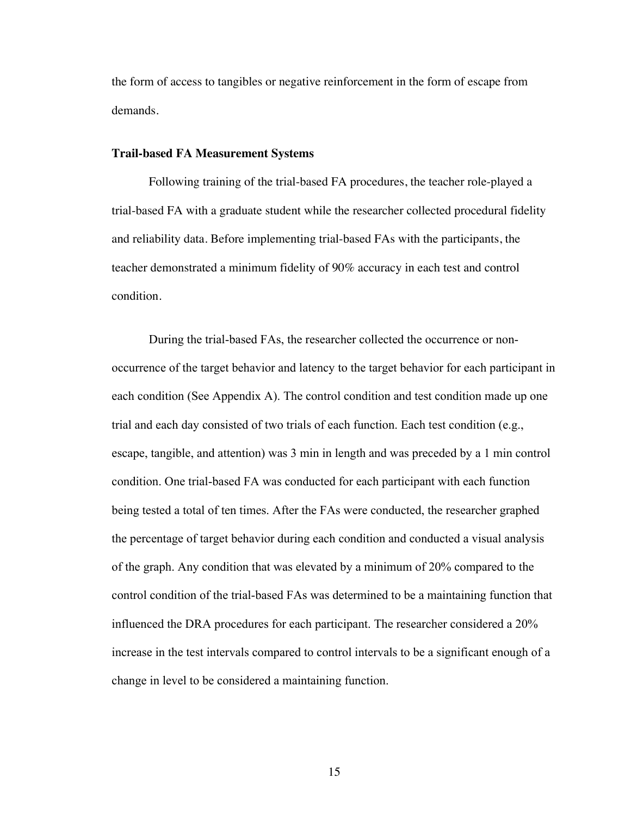the form of access to tangibles or negative reinforcement in the form of escape from demands.

#### **Trail-based FA Measurement Systems**

Following training of the trial-based FA procedures, the teacher role-played a trial-based FA with a graduate student while the researcher collected procedural fidelity and reliability data. Before implementing trial-based FAs with the participants, the teacher demonstrated a minimum fidelity of 90% accuracy in each test and control condition.

During the trial-based FAs, the researcher collected the occurrence or nonoccurrence of the target behavior and latency to the target behavior for each participant in each condition (See Appendix A). The control condition and test condition made up one trial and each day consisted of two trials of each function. Each test condition (e.g., escape, tangible, and attention) was 3 min in length and was preceded by a 1 min control condition. One trial-based FA was conducted for each participant with each function being tested a total of ten times. After the FAs were conducted, the researcher graphed the percentage of target behavior during each condition and conducted a visual analysis of the graph. Any condition that was elevated by a minimum of 20% compared to the control condition of the trial-based FAs was determined to be a maintaining function that influenced the DRA procedures for each participant. The researcher considered a 20% increase in the test intervals compared to control intervals to be a significant enough of a change in level to be considered a maintaining function.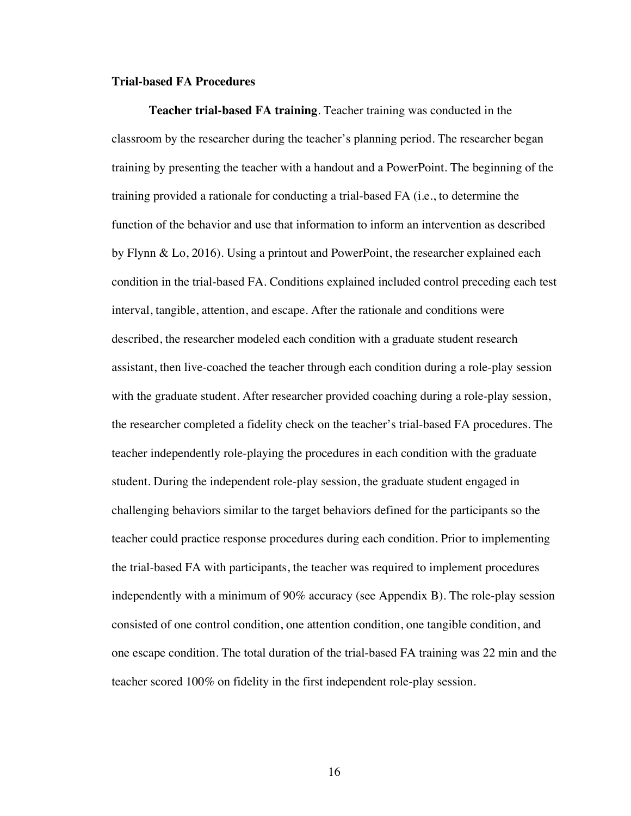#### **Trial-based FA Procedures**

**Teacher trial-based FA training**. Teacher training was conducted in the classroom by the researcher during the teacher's planning period. The researcher began training by presenting the teacher with a handout and a PowerPoint. The beginning of the training provided a rationale for conducting a trial-based FA (i.e., to determine the function of the behavior and use that information to inform an intervention as described by Flynn & Lo, 2016). Using a printout and PowerPoint, the researcher explained each condition in the trial-based FA. Conditions explained included control preceding each test interval, tangible, attention, and escape. After the rationale and conditions were described, the researcher modeled each condition with a graduate student research assistant, then live-coached the teacher through each condition during a role-play session with the graduate student. After researcher provided coaching during a role-play session, the researcher completed a fidelity check on the teacher's trial-based FA procedures. The teacher independently role-playing the procedures in each condition with the graduate student. During the independent role-play session, the graduate student engaged in challenging behaviors similar to the target behaviors defined for the participants so the teacher could practice response procedures during each condition. Prior to implementing the trial-based FA with participants, the teacher was required to implement procedures independently with a minimum of 90% accuracy (see Appendix B). The role-play session consisted of one control condition, one attention condition, one tangible condition, and one escape condition. The total duration of the trial-based FA training was 22 min and the teacher scored 100% on fidelity in the first independent role-play session.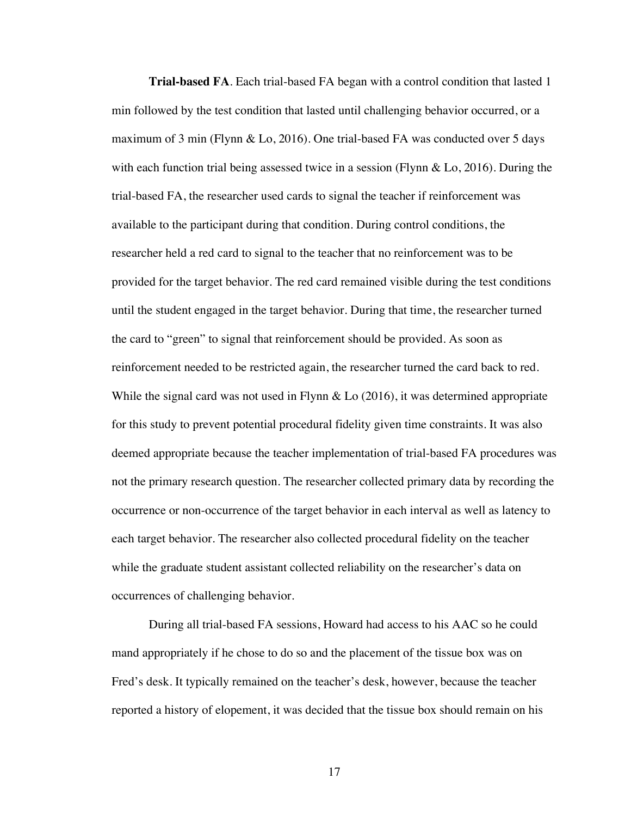**Trial-based FA***.* Each trial-based FA began with a control condition that lasted 1 min followed by the test condition that lasted until challenging behavior occurred, or a maximum of 3 min (Flynn & Lo, 2016). One trial-based FA was conducted over 5 days with each function trial being assessed twice in a session (Flynn & Lo, 2016). During the trial-based FA, the researcher used cards to signal the teacher if reinforcement was available to the participant during that condition. During control conditions, the researcher held a red card to signal to the teacher that no reinforcement was to be provided for the target behavior. The red card remained visible during the test conditions until the student engaged in the target behavior. During that time, the researcher turned the card to "green" to signal that reinforcement should be provided. As soon as reinforcement needed to be restricted again, the researcher turned the card back to red. While the signal card was not used in Flynn & Lo (2016), it was determined appropriate for this study to prevent potential procedural fidelity given time constraints. It was also deemed appropriate because the teacher implementation of trial-based FA procedures was not the primary research question. The researcher collected primary data by recording the occurrence or non-occurrence of the target behavior in each interval as well as latency to each target behavior. The researcher also collected procedural fidelity on the teacher while the graduate student assistant collected reliability on the researcher's data on occurrences of challenging behavior.

During all trial-based FA sessions, Howard had access to his AAC so he could mand appropriately if he chose to do so and the placement of the tissue box was on Fred's desk. It typically remained on the teacher's desk, however, because the teacher reported a history of elopement, it was decided that the tissue box should remain on his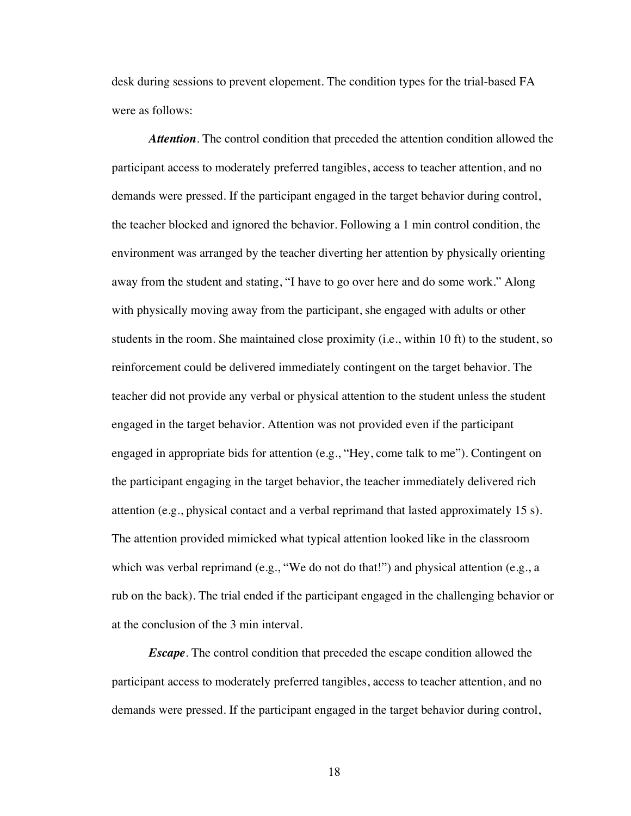desk during sessions to prevent elopement. The condition types for the trial-based FA were as follows:

*Attention.* The control condition that preceded the attention condition allowed the participant access to moderately preferred tangibles, access to teacher attention, and no demands were pressed. If the participant engaged in the target behavior during control, the teacher blocked and ignored the behavior. Following a 1 min control condition, the environment was arranged by the teacher diverting her attention by physically orienting away from the student and stating, "I have to go over here and do some work." Along with physically moving away from the participant, she engaged with adults or other students in the room. She maintained close proximity (i.e., within 10 ft) to the student, so reinforcement could be delivered immediately contingent on the target behavior. The teacher did not provide any verbal or physical attention to the student unless the student engaged in the target behavior. Attention was not provided even if the participant engaged in appropriate bids for attention (e.g., "Hey, come talk to me"). Contingent on the participant engaging in the target behavior, the teacher immediately delivered rich attention (e.g., physical contact and a verbal reprimand that lasted approximately 15 s). The attention provided mimicked what typical attention looked like in the classroom which was verbal reprimand (e.g., "We do not do that!") and physical attention (e.g., a rub on the back). The trial ended if the participant engaged in the challenging behavior or at the conclusion of the 3 min interval.

*Escape.* The control condition that preceded the escape condition allowed the participant access to moderately preferred tangibles, access to teacher attention, and no demands were pressed. If the participant engaged in the target behavior during control,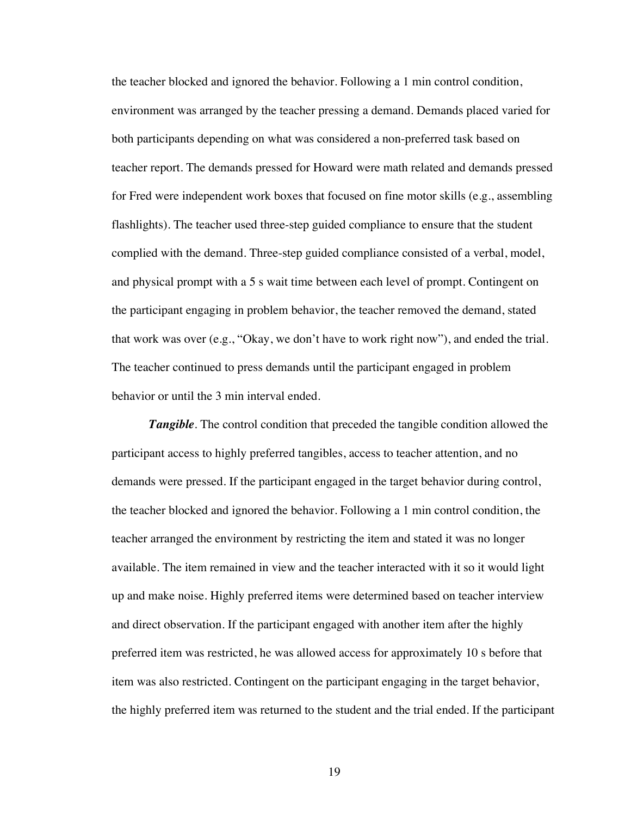the teacher blocked and ignored the behavior. Following a 1 min control condition, environment was arranged by the teacher pressing a demand. Demands placed varied for both participants depending on what was considered a non-preferred task based on teacher report. The demands pressed for Howard were math related and demands pressed for Fred were independent work boxes that focused on fine motor skills (e.g., assembling flashlights). The teacher used three-step guided compliance to ensure that the student complied with the demand. Three-step guided compliance consisted of a verbal, model, and physical prompt with a 5 s wait time between each level of prompt. Contingent on the participant engaging in problem behavior, the teacher removed the demand, stated that work was over (e.g., "Okay, we don't have to work right now"), and ended the trial. The teacher continued to press demands until the participant engaged in problem behavior or until the 3 min interval ended.

**Tangible**. The control condition that preceded the tangible condition allowed the participant access to highly preferred tangibles, access to teacher attention, and no demands were pressed. If the participant engaged in the target behavior during control, the teacher blocked and ignored the behavior. Following a 1 min control condition, the teacher arranged the environment by restricting the item and stated it was no longer available. The item remained in view and the teacher interacted with it so it would light up and make noise. Highly preferred items were determined based on teacher interview and direct observation. If the participant engaged with another item after the highly preferred item was restricted, he was allowed access for approximately 10 s before that item was also restricted. Contingent on the participant engaging in the target behavior, the highly preferred item was returned to the student and the trial ended. If the participant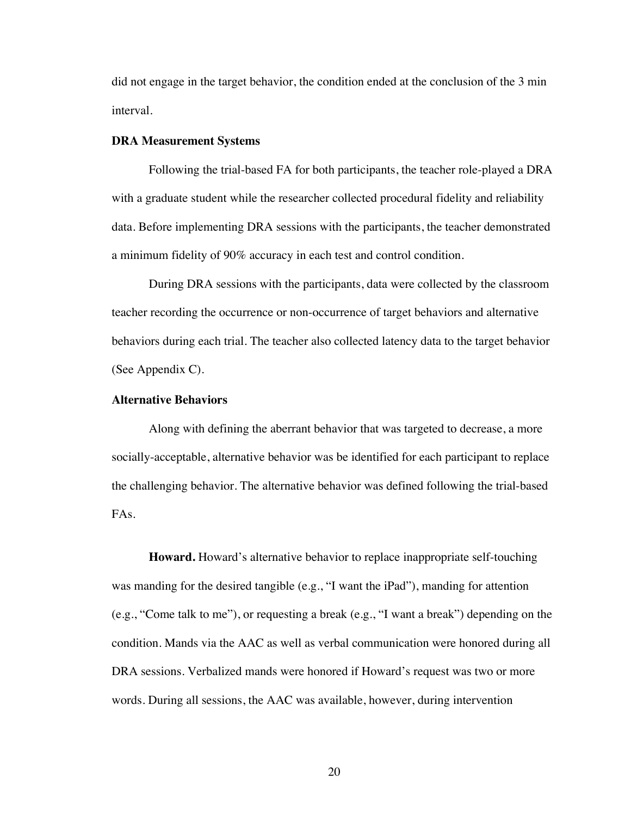did not engage in the target behavior, the condition ended at the conclusion of the 3 min interval.

#### **DRA Measurement Systems**

Following the trial-based FA for both participants, the teacher role-played a DRA with a graduate student while the researcher collected procedural fidelity and reliability data. Before implementing DRA sessions with the participants, the teacher demonstrated a minimum fidelity of 90% accuracy in each test and control condition.

During DRA sessions with the participants, data were collected by the classroom teacher recording the occurrence or non-occurrence of target behaviors and alternative behaviors during each trial. The teacher also collected latency data to the target behavior (See Appendix C).

#### **Alternative Behaviors**

Along with defining the aberrant behavior that was targeted to decrease, a more socially-acceptable, alternative behavior was be identified for each participant to replace the challenging behavior. The alternative behavior was defined following the trial-based FAs.

**Howard.** Howard's alternative behavior to replace inappropriate self-touching was manding for the desired tangible (e.g., "I want the iPad"), manding for attention (e.g., "Come talk to me"), or requesting a break (e.g., "I want a break") depending on the condition. Mands via the AAC as well as verbal communication were honored during all DRA sessions. Verbalized mands were honored if Howard's request was two or more words. During all sessions, the AAC was available, however, during intervention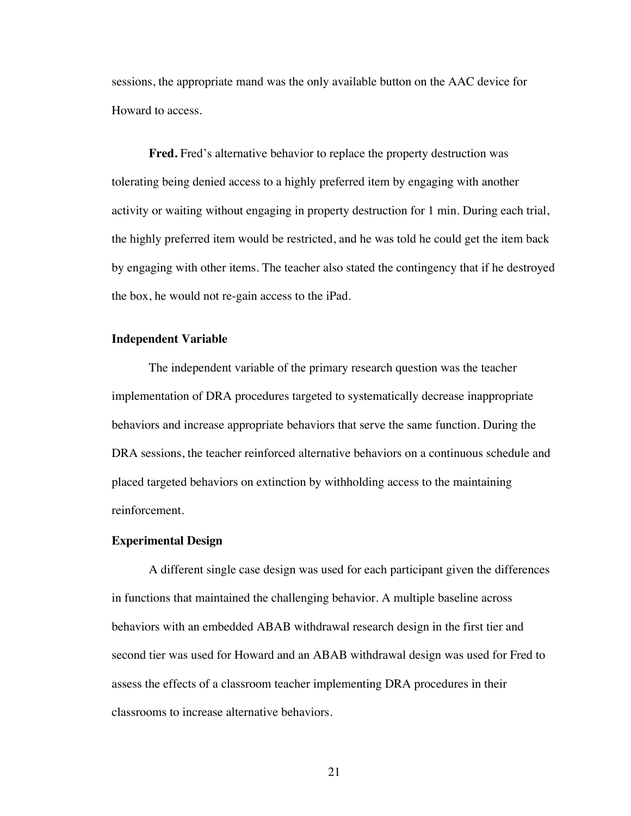sessions, the appropriate mand was the only available button on the AAC device for Howard to access.

**Fred.** Fred's alternative behavior to replace the property destruction was tolerating being denied access to a highly preferred item by engaging with another activity or waiting without engaging in property destruction for 1 min. During each trial, the highly preferred item would be restricted, and he was told he could get the item back by engaging with other items. The teacher also stated the contingency that if he destroyed the box, he would not re-gain access to the iPad.

#### **Independent Variable**

The independent variable of the primary research question was the teacher implementation of DRA procedures targeted to systematically decrease inappropriate behaviors and increase appropriate behaviors that serve the same function. During the DRA sessions, the teacher reinforced alternative behaviors on a continuous schedule and placed targeted behaviors on extinction by withholding access to the maintaining reinforcement.

#### **Experimental Design**

A different single case design was used for each participant given the differences in functions that maintained the challenging behavior. A multiple baseline across behaviors with an embedded ABAB withdrawal research design in the first tier and second tier was used for Howard and an ABAB withdrawal design was used for Fred to assess the effects of a classroom teacher implementing DRA procedures in their classrooms to increase alternative behaviors.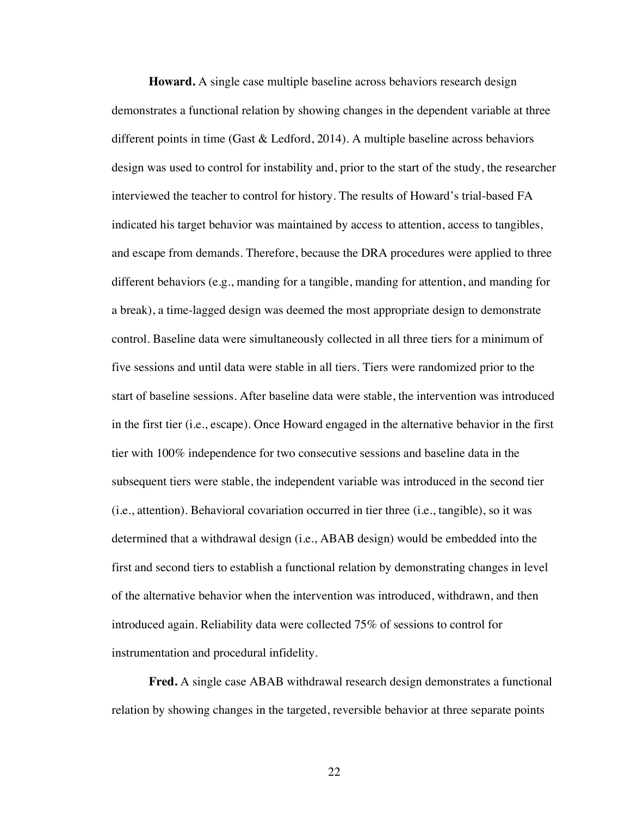**Howard.** A single case multiple baseline across behaviors research design demonstrates a functional relation by showing changes in the dependent variable at three different points in time (Gast & Ledford, 2014). A multiple baseline across behaviors design was used to control for instability and, prior to the start of the study, the researcher interviewed the teacher to control for history. The results of Howard's trial-based FA indicated his target behavior was maintained by access to attention, access to tangibles, and escape from demands. Therefore, because the DRA procedures were applied to three different behaviors (e.g., manding for a tangible, manding for attention, and manding for a break), a time-lagged design was deemed the most appropriate design to demonstrate control. Baseline data were simultaneously collected in all three tiers for a minimum of five sessions and until data were stable in all tiers. Tiers were randomized prior to the start of baseline sessions. After baseline data were stable, the intervention was introduced in the first tier (i.e., escape). Once Howard engaged in the alternative behavior in the first tier with 100% independence for two consecutive sessions and baseline data in the subsequent tiers were stable, the independent variable was introduced in the second tier (i.e., attention). Behavioral covariation occurred in tier three (i.e., tangible), so it was determined that a withdrawal design (i.e., ABAB design) would be embedded into the first and second tiers to establish a functional relation by demonstrating changes in level of the alternative behavior when the intervention was introduced, withdrawn, and then introduced again. Reliability data were collected 75% of sessions to control for instrumentation and procedural infidelity.

**Fred.** A single case ABAB withdrawal research design demonstrates a functional relation by showing changes in the targeted, reversible behavior at three separate points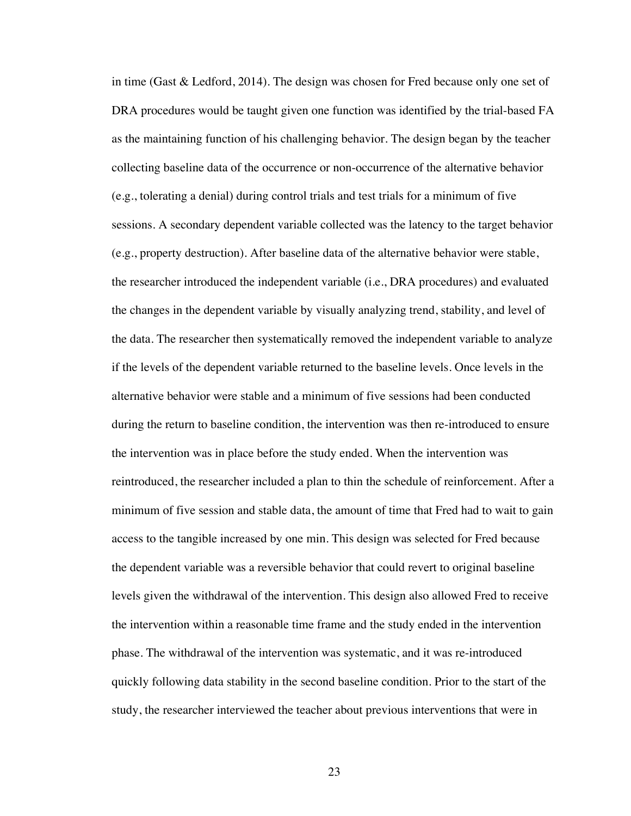in time (Gast & Ledford, 2014). The design was chosen for Fred because only one set of DRA procedures would be taught given one function was identified by the trial-based FA as the maintaining function of his challenging behavior. The design began by the teacher collecting baseline data of the occurrence or non-occurrence of the alternative behavior (e.g., tolerating a denial) during control trials and test trials for a minimum of five sessions. A secondary dependent variable collected was the latency to the target behavior (e.g., property destruction). After baseline data of the alternative behavior were stable, the researcher introduced the independent variable (i.e., DRA procedures) and evaluated the changes in the dependent variable by visually analyzing trend, stability, and level of the data. The researcher then systematically removed the independent variable to analyze if the levels of the dependent variable returned to the baseline levels. Once levels in the alternative behavior were stable and a minimum of five sessions had been conducted during the return to baseline condition, the intervention was then re-introduced to ensure the intervention was in place before the study ended. When the intervention was reintroduced, the researcher included a plan to thin the schedule of reinforcement. After a minimum of five session and stable data, the amount of time that Fred had to wait to gain access to the tangible increased by one min. This design was selected for Fred because the dependent variable was a reversible behavior that could revert to original baseline levels given the withdrawal of the intervention. This design also allowed Fred to receive the intervention within a reasonable time frame and the study ended in the intervention phase. The withdrawal of the intervention was systematic, and it was re-introduced quickly following data stability in the second baseline condition. Prior to the start of the study, the researcher interviewed the teacher about previous interventions that were in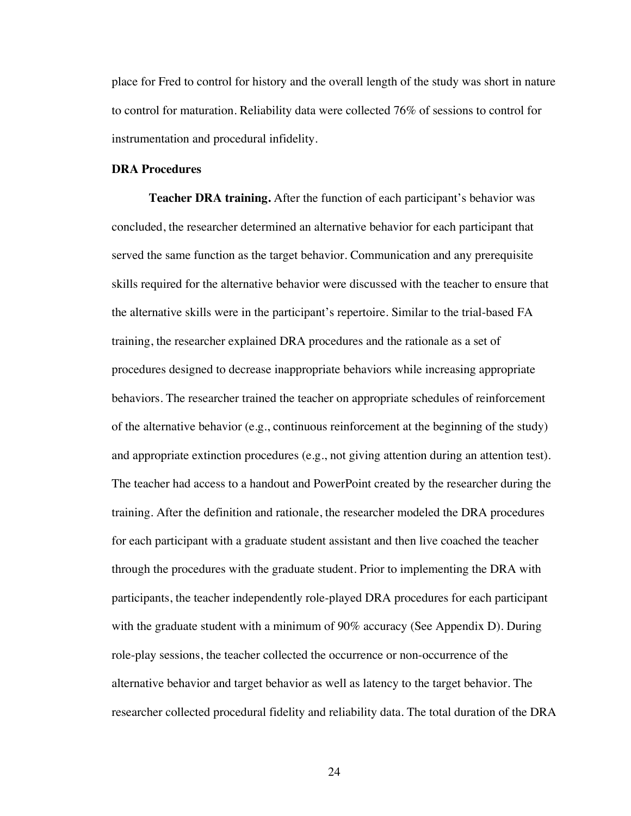place for Fred to control for history and the overall length of the study was short in nature to control for maturation. Reliability data were collected 76% of sessions to control for instrumentation and procedural infidelity.

#### **DRA Procedures**

**Teacher DRA training.** After the function of each participant's behavior was concluded, the researcher determined an alternative behavior for each participant that served the same function as the target behavior. Communication and any prerequisite skills required for the alternative behavior were discussed with the teacher to ensure that the alternative skills were in the participant's repertoire. Similar to the trial-based FA training, the researcher explained DRA procedures and the rationale as a set of procedures designed to decrease inappropriate behaviors while increasing appropriate behaviors. The researcher trained the teacher on appropriate schedules of reinforcement of the alternative behavior (e.g., continuous reinforcement at the beginning of the study) and appropriate extinction procedures (e.g., not giving attention during an attention test). The teacher had access to a handout and PowerPoint created by the researcher during the training. After the definition and rationale, the researcher modeled the DRA procedures for each participant with a graduate student assistant and then live coached the teacher through the procedures with the graduate student. Prior to implementing the DRA with participants, the teacher independently role-played DRA procedures for each participant with the graduate student with a minimum of 90% accuracy (See Appendix D). During role-play sessions, the teacher collected the occurrence or non-occurrence of the alternative behavior and target behavior as well as latency to the target behavior. The researcher collected procedural fidelity and reliability data. The total duration of the DRA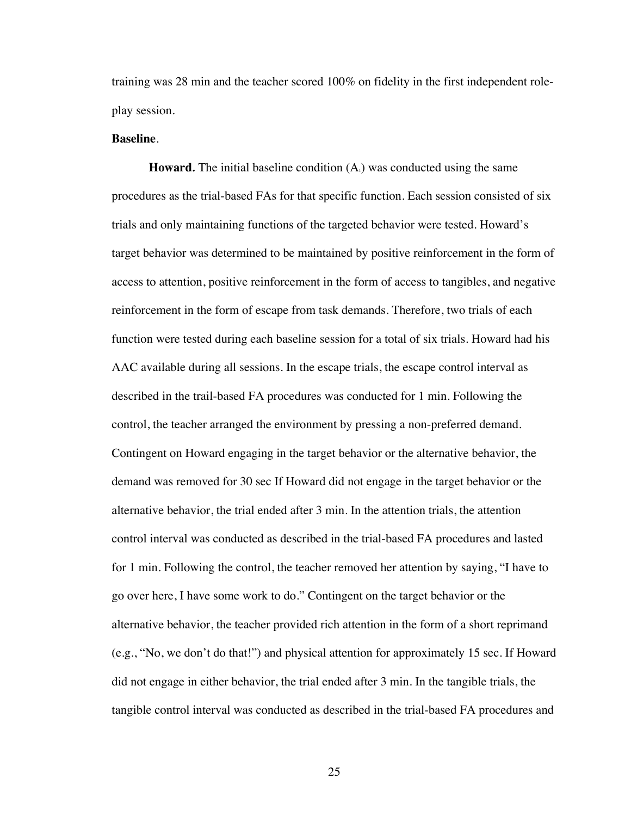training was 28 min and the teacher scored 100% on fidelity in the first independent roleplay session.

#### **Baseline**.

**Howard.** The initial baseline condition  $(A<sub>1</sub>)$  was conducted using the same procedures as the trial-based FAs for that specific function. Each session consisted of six trials and only maintaining functions of the targeted behavior were tested. Howard's target behavior was determined to be maintained by positive reinforcement in the form of access to attention, positive reinforcement in the form of access to tangibles, and negative reinforcement in the form of escape from task demands. Therefore, two trials of each function were tested during each baseline session for a total of six trials. Howard had his AAC available during all sessions. In the escape trials, the escape control interval as described in the trail-based FA procedures was conducted for 1 min. Following the control, the teacher arranged the environment by pressing a non-preferred demand. Contingent on Howard engaging in the target behavior or the alternative behavior, the demand was removed for 30 sec If Howard did not engage in the target behavior or the alternative behavior, the trial ended after 3 min. In the attention trials, the attention control interval was conducted as described in the trial-based FA procedures and lasted for 1 min. Following the control, the teacher removed her attention by saying, "I have to go over here, I have some work to do." Contingent on the target behavior or the alternative behavior, the teacher provided rich attention in the form of a short reprimand (e.g., "No, we don't do that!") and physical attention for approximately 15 sec. If Howard did not engage in either behavior, the trial ended after 3 min. In the tangible trials, the tangible control interval was conducted as described in the trial-based FA procedures and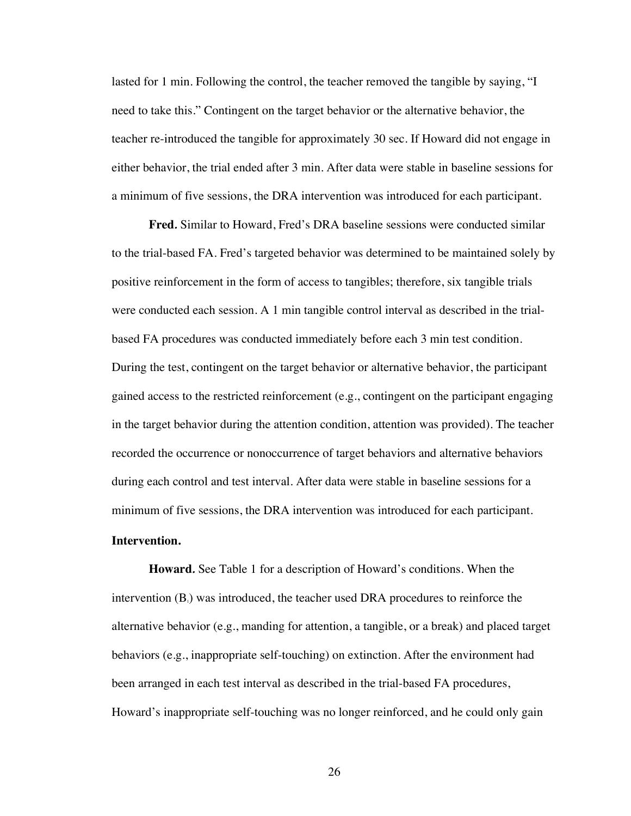lasted for 1 min. Following the control, the teacher removed the tangible by saying, "I need to take this." Contingent on the target behavior or the alternative behavior, the teacher re-introduced the tangible for approximately 30 sec. If Howard did not engage in either behavior, the trial ended after 3 min. After data were stable in baseline sessions for a minimum of five sessions, the DRA intervention was introduced for each participant.

**Fred***.* Similar to Howard, Fred's DRA baseline sessions were conducted similar to the trial-based FA. Fred's targeted behavior was determined to be maintained solely by positive reinforcement in the form of access to tangibles; therefore, six tangible trials were conducted each session. A 1 min tangible control interval as described in the trialbased FA procedures was conducted immediately before each 3 min test condition. During the test, contingent on the target behavior or alternative behavior, the participant gained access to the restricted reinforcement (e.g., contingent on the participant engaging in the target behavior during the attention condition, attention was provided). The teacher recorded the occurrence or nonoccurrence of target behaviors and alternative behaviors during each control and test interval. After data were stable in baseline sessions for a minimum of five sessions, the DRA intervention was introduced for each participant.

#### **Intervention.**

**Howard***.* See Table 1 for a description of Howard's conditions. When the intervention  $(B<sub>1</sub>)$  was introduced, the teacher used DRA procedures to reinforce the alternative behavior (e.g., manding for attention, a tangible, or a break) and placed target behaviors (e.g., inappropriate self-touching) on extinction. After the environment had been arranged in each test interval as described in the trial-based FA procedures, Howard's inappropriate self-touching was no longer reinforced, and he could only gain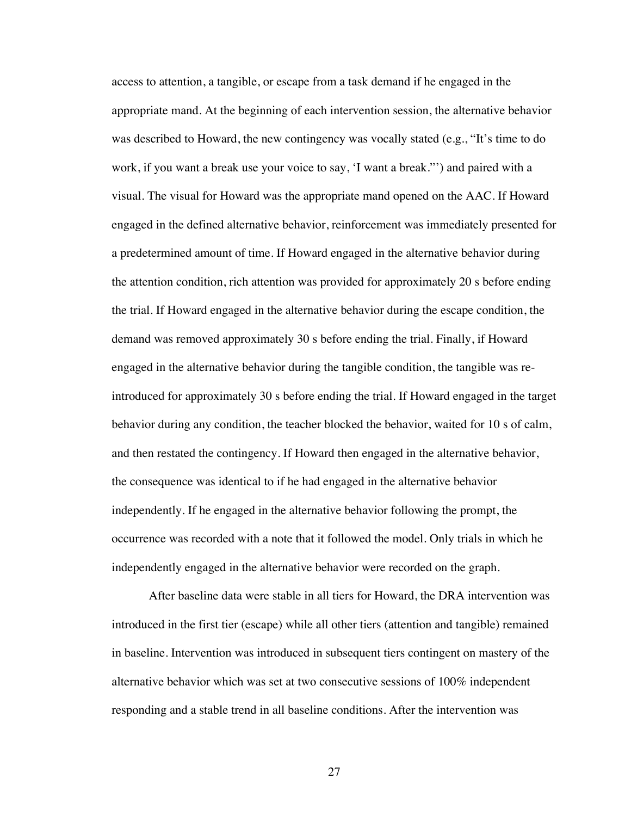access to attention, a tangible, or escape from a task demand if he engaged in the appropriate mand. At the beginning of each intervention session, the alternative behavior was described to Howard, the new contingency was vocally stated (e.g., "It's time to do work, if you want a break use your voice to say, 'I want a break."') and paired with a visual. The visual for Howard was the appropriate mand opened on the AAC. If Howard engaged in the defined alternative behavior, reinforcement was immediately presented for a predetermined amount of time. If Howard engaged in the alternative behavior during the attention condition, rich attention was provided for approximately 20 s before ending the trial. If Howard engaged in the alternative behavior during the escape condition, the demand was removed approximately 30 s before ending the trial. Finally, if Howard engaged in the alternative behavior during the tangible condition, the tangible was reintroduced for approximately 30 s before ending the trial. If Howard engaged in the target behavior during any condition, the teacher blocked the behavior, waited for 10 s of calm, and then restated the contingency. If Howard then engaged in the alternative behavior, the consequence was identical to if he had engaged in the alternative behavior independently. If he engaged in the alternative behavior following the prompt, the occurrence was recorded with a note that it followed the model. Only trials in which he independently engaged in the alternative behavior were recorded on the graph.

After baseline data were stable in all tiers for Howard, the DRA intervention was introduced in the first tier (escape) while all other tiers (attention and tangible) remained in baseline. Intervention was introduced in subsequent tiers contingent on mastery of the alternative behavior which was set at two consecutive sessions of 100% independent responding and a stable trend in all baseline conditions. After the intervention was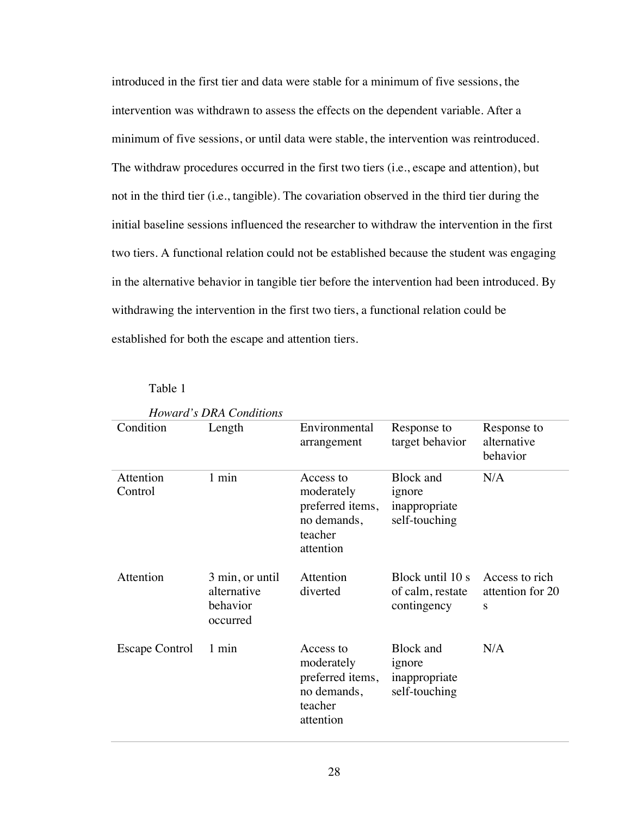introduced in the first tier and data were stable for a minimum of five sessions, the intervention was withdrawn to assess the effects on the dependent variable. After a minimum of five sessions, or until data were stable, the intervention was reintroduced. The withdraw procedures occurred in the first two tiers (i.e., escape and attention), but not in the third tier (i.e., tangible). The covariation observed in the third tier during the initial baseline sessions influenced the researcher to withdraw the intervention in the first two tiers. A functional relation could not be established because the student was engaging in the alternative behavior in tangible tier before the intervention had been introduced. By withdrawing the intervention in the first two tiers, a functional relation could be established for both the escape and attention tiers.

## Table 1

|                       | Howard's DRA Conditions                                |                                                                                    |                                                              |                                         |
|-----------------------|--------------------------------------------------------|------------------------------------------------------------------------------------|--------------------------------------------------------------|-----------------------------------------|
| Condition             | Length                                                 | Environmental<br>arrangement                                                       | Response to<br>target behavior                               | Response to<br>alternative<br>behavior  |
| Attention<br>Control  | 1 min                                                  | Access to<br>moderately<br>preferred items,<br>no demands,<br>teacher<br>attention | <b>Block</b> and<br>ignore<br>inappropriate<br>self-touching | N/A                                     |
| Attention             | 3 min, or until<br>alternative<br>behavior<br>occurred | Attention<br>diverted                                                              | Block until 10 s<br>of calm, restate<br>contingency          | Access to rich<br>attention for 20<br>S |
| <b>Escape Control</b> | 1 min                                                  | Access to<br>moderately<br>preferred items,<br>no demands,<br>teacher<br>attention | Block and<br>ignore<br>inappropriate<br>self-touching        | N/A                                     |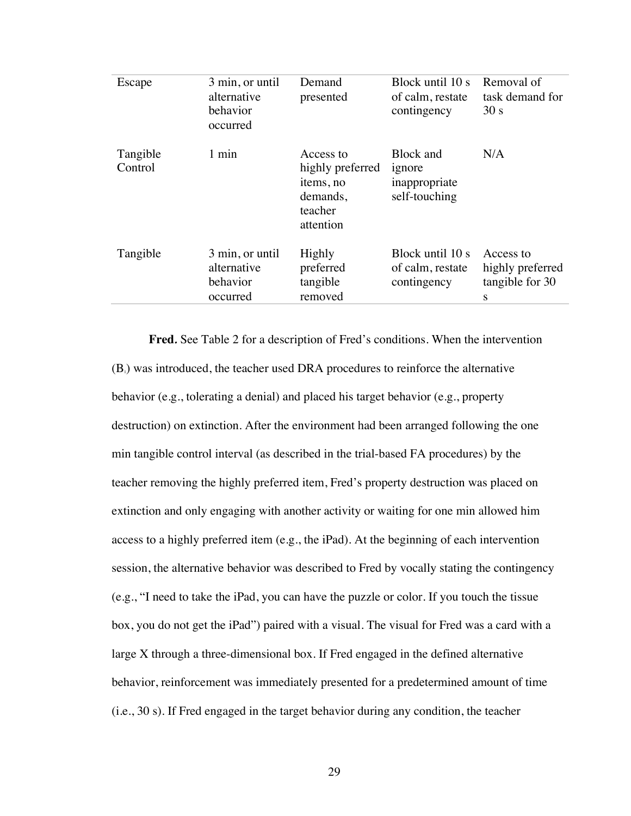| Escape              | 3 min, or until<br>alternative<br>behavior<br>occurred | Demand<br>presented                                                            | Block until 10 s<br>of calm, restate<br>contingency   | Removal of<br>task demand for<br>30 s                 |
|---------------------|--------------------------------------------------------|--------------------------------------------------------------------------------|-------------------------------------------------------|-------------------------------------------------------|
| Tangible<br>Control | 1 min                                                  | Access to<br>highly preferred<br>items, no<br>demands,<br>teacher<br>attention | Block and<br>ignore<br>inappropriate<br>self-touching | N/A                                                   |
| Tangible            | 3 min, or until<br>alternative<br>behavior<br>occurred | Highly<br>preferred<br>tangible<br>removed                                     | Block until 10 s<br>of calm, restate<br>contingency   | Access to<br>highly preferred<br>tangible for 30<br>S |

**Fred***.* See Table 2 for a description of Fred's conditions. When the intervention  $(B<sub>1</sub>)$  was introduced, the teacher used DRA procedures to reinforce the alternative behavior (e.g., tolerating a denial) and placed his target behavior (e.g., property destruction) on extinction. After the environment had been arranged following the one min tangible control interval (as described in the trial-based FA procedures) by the teacher removing the highly preferred item, Fred's property destruction was placed on extinction and only engaging with another activity or waiting for one min allowed him access to a highly preferred item (e.g., the iPad). At the beginning of each intervention session, the alternative behavior was described to Fred by vocally stating the contingency (e.g., "I need to take the iPad, you can have the puzzle or color. If you touch the tissue box, you do not get the iPad") paired with a visual. The visual for Fred was a card with a large X through a three-dimensional box. If Fred engaged in the defined alternative behavior, reinforcement was immediately presented for a predetermined amount of time (i.e., 30 s). If Fred engaged in the target behavior during any condition, the teacher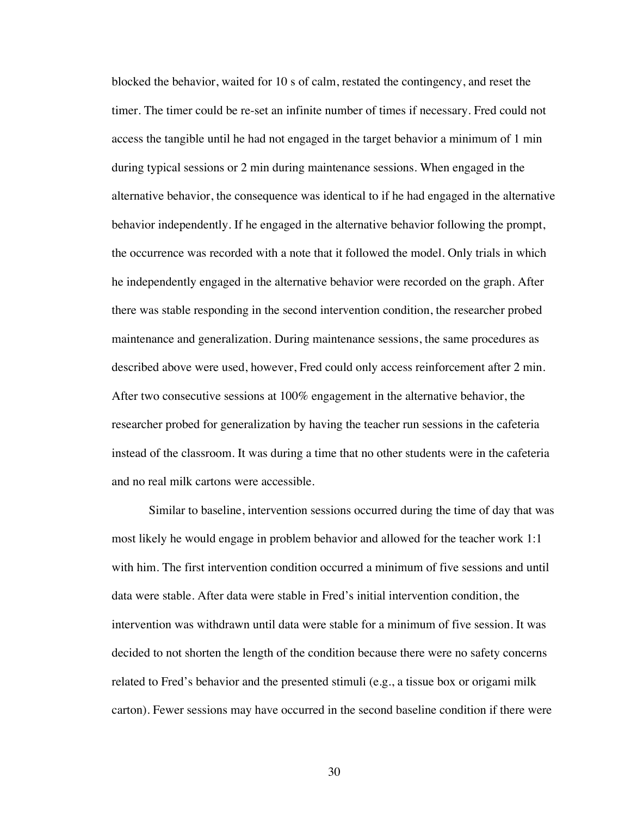blocked the behavior, waited for 10 s of calm, restated the contingency, and reset the timer. The timer could be re-set an infinite number of times if necessary. Fred could not access the tangible until he had not engaged in the target behavior a minimum of 1 min during typical sessions or 2 min during maintenance sessions. When engaged in the alternative behavior, the consequence was identical to if he had engaged in the alternative behavior independently. If he engaged in the alternative behavior following the prompt, the occurrence was recorded with a note that it followed the model. Only trials in which he independently engaged in the alternative behavior were recorded on the graph. After there was stable responding in the second intervention condition, the researcher probed maintenance and generalization. During maintenance sessions, the same procedures as described above were used, however, Fred could only access reinforcement after 2 min. After two consecutive sessions at 100% engagement in the alternative behavior, the researcher probed for generalization by having the teacher run sessions in the cafeteria instead of the classroom. It was during a time that no other students were in the cafeteria and no real milk cartons were accessible.

Similar to baseline, intervention sessions occurred during the time of day that was most likely he would engage in problem behavior and allowed for the teacher work 1:1 with him. The first intervention condition occurred a minimum of five sessions and until data were stable. After data were stable in Fred's initial intervention condition, the intervention was withdrawn until data were stable for a minimum of five session. It was decided to not shorten the length of the condition because there were no safety concerns related to Fred's behavior and the presented stimuli (e.g., a tissue box or origami milk carton). Fewer sessions may have occurred in the second baseline condition if there were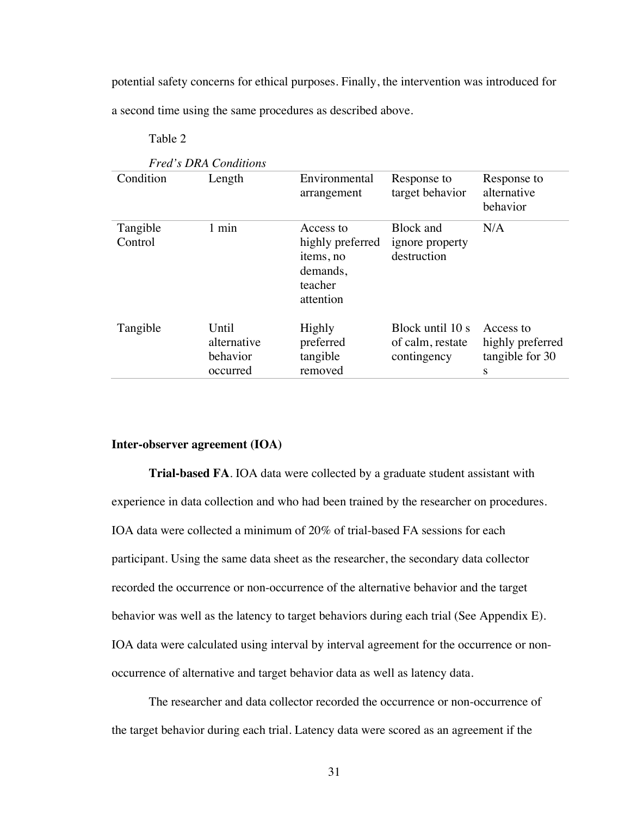potential safety concerns for ethical purposes. Finally, the intervention was introduced for a second time using the same procedures as described above.

Table 2

|                     | <b>Fred's DRA Conditions</b>                 |                                                                                |                                                     |                                                       |
|---------------------|----------------------------------------------|--------------------------------------------------------------------------------|-----------------------------------------------------|-------------------------------------------------------|
| Condition           | Length                                       | Environmental<br>arrangement                                                   | Response to<br>target behavior                      | Response to<br>alternative<br>behavior                |
| Tangible<br>Control | 1 min                                        | Access to<br>highly preferred<br>items, no<br>demands,<br>teacher<br>attention | <b>Block</b> and<br>ignore property<br>destruction  | N/A                                                   |
| Tangible            | Until<br>alternative<br>behavior<br>occurred | Highly<br>preferred<br>tangible<br>removed                                     | Block until 10 s<br>of calm, restate<br>contingency | Access to<br>highly preferred<br>tangible for 30<br>S |

## **Inter-observer agreement (IOA)**

**Trial-based FA**. IOA data were collected by a graduate student assistant with experience in data collection and who had been trained by the researcher on procedures. IOA data were collected a minimum of 20% of trial-based FA sessions for each participant. Using the same data sheet as the researcher, the secondary data collector recorded the occurrence or non-occurrence of the alternative behavior and the target behavior was well as the latency to target behaviors during each trial (See Appendix E). IOA data were calculated using interval by interval agreement for the occurrence or nonoccurrence of alternative and target behavior data as well as latency data.

The researcher and data collector recorded the occurrence or non-occurrence of the target behavior during each trial. Latency data were scored as an agreement if the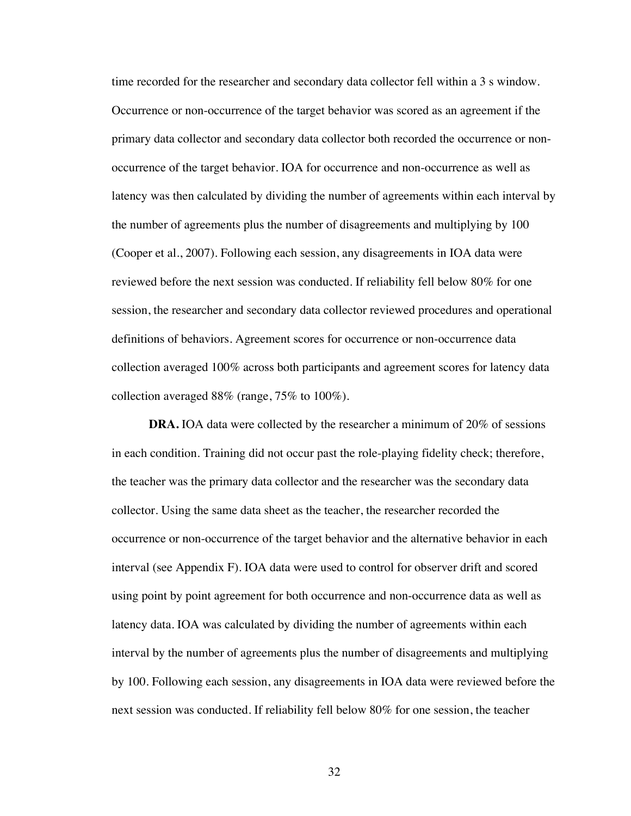time recorded for the researcher and secondary data collector fell within a 3 s window. Occurrence or non-occurrence of the target behavior was scored as an agreement if the primary data collector and secondary data collector both recorded the occurrence or nonoccurrence of the target behavior. IOA for occurrence and non-occurrence as well as latency was then calculated by dividing the number of agreements within each interval by the number of agreements plus the number of disagreements and multiplying by 100 (Cooper et al., 2007). Following each session, any disagreements in IOA data were reviewed before the next session was conducted. If reliability fell below 80% for one session, the researcher and secondary data collector reviewed procedures and operational definitions of behaviors. Agreement scores for occurrence or non-occurrence data collection averaged 100% across both participants and agreement scores for latency data collection averaged 88% (range, 75% to 100%).

**DRA.** IOA data were collected by the researcher a minimum of 20% of sessions in each condition. Training did not occur past the role-playing fidelity check; therefore, the teacher was the primary data collector and the researcher was the secondary data collector. Using the same data sheet as the teacher, the researcher recorded the occurrence or non-occurrence of the target behavior and the alternative behavior in each interval (see Appendix F). IOA data were used to control for observer drift and scored using point by point agreement for both occurrence and non-occurrence data as well as latency data. IOA was calculated by dividing the number of agreements within each interval by the number of agreements plus the number of disagreements and multiplying by 100. Following each session, any disagreements in IOA data were reviewed before the next session was conducted. If reliability fell below 80% for one session, the teacher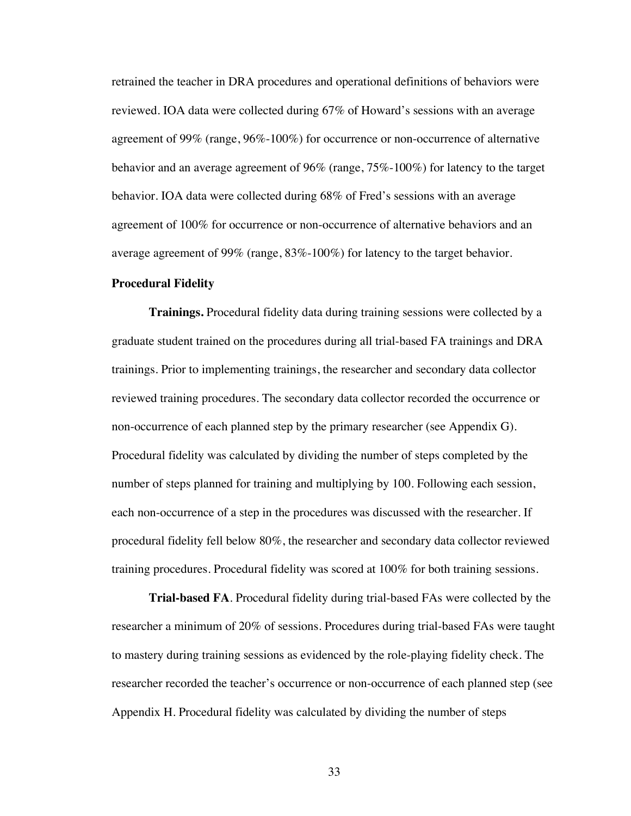retrained the teacher in DRA procedures and operational definitions of behaviors were reviewed. IOA data were collected during 67% of Howard's sessions with an average agreement of 99% (range, 96%-100%) for occurrence or non-occurrence of alternative behavior and an average agreement of 96% (range, 75%-100%) for latency to the target behavior. IOA data were collected during 68% of Fred's sessions with an average agreement of 100% for occurrence or non-occurrence of alternative behaviors and an average agreement of 99% (range, 83%-100%) for latency to the target behavior.

#### **Procedural Fidelity**

**Trainings.** Procedural fidelity data during training sessions were collected by a graduate student trained on the procedures during all trial-based FA trainings and DRA trainings. Prior to implementing trainings, the researcher and secondary data collector reviewed training procedures. The secondary data collector recorded the occurrence or non-occurrence of each planned step by the primary researcher (see Appendix G). Procedural fidelity was calculated by dividing the number of steps completed by the number of steps planned for training and multiplying by 100. Following each session, each non-occurrence of a step in the procedures was discussed with the researcher. If procedural fidelity fell below 80%, the researcher and secondary data collector reviewed training procedures. Procedural fidelity was scored at 100% for both training sessions.

**Trial-based FA**. Procedural fidelity during trial-based FAs were collected by the researcher a minimum of 20% of sessions. Procedures during trial-based FAs were taught to mastery during training sessions as evidenced by the role-playing fidelity check. The researcher recorded the teacher's occurrence or non-occurrence of each planned step (see Appendix H. Procedural fidelity was calculated by dividing the number of steps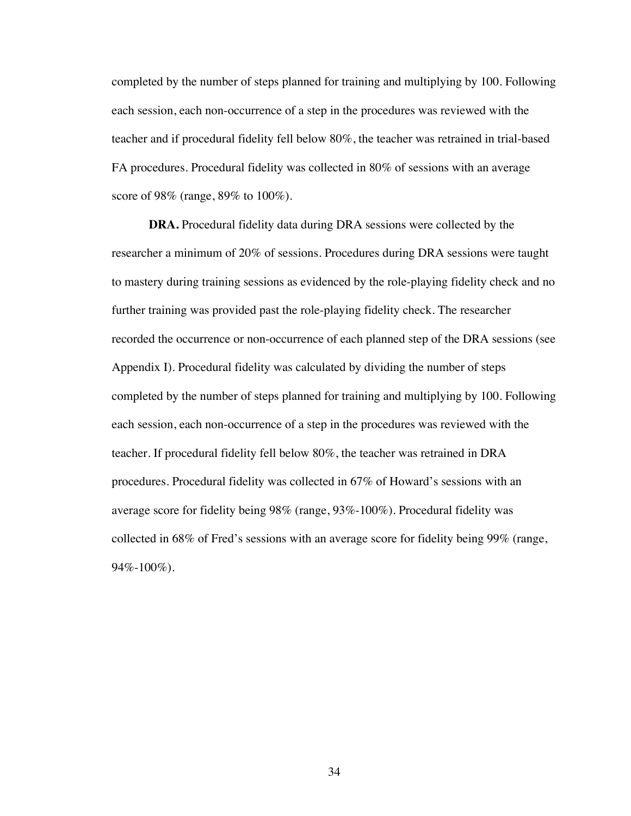completed by the number of steps planned for training and multiplying by 100. Following each session, each non-occurrence of a step in the procedures was reviewed with the teacher and if procedural fidelity fell below 80%, the teacher was retrained in trial-based FA procedures. Procedural fidelity was collected in 80% of sessions with an average score of 98% (range, 89% to 100%).

**DRA.** Procedural fidelity data during DRA sessions were collected by the researcher a minimum of 20% of sessions. Procedures during DRA sessions were taught to mastery during training sessions as evidenced by the role-playing fidelity check and no further training was provided past the role-playing fidelity check. The researcher recorded the occurrence or non-occurrence of each planned step of the DRA sessions (see Appendix I). Procedural fidelity was calculated by dividing the number of steps completed by the number of steps planned for training and multiplying by 100. Following each session, each non-occurrence of a step in the procedures was reviewed with the teacher. If procedural fidelity fell below 80%, the teacher was retrained in DRA procedures. Procedural fidelity was collected in 67% of Howard's sessions with an average score for fidelity being 98% (range, 93%-100%). Procedural fidelity was collected in 68% of Fred's sessions with an average score for fidelity being 99% (range, 94%-100%).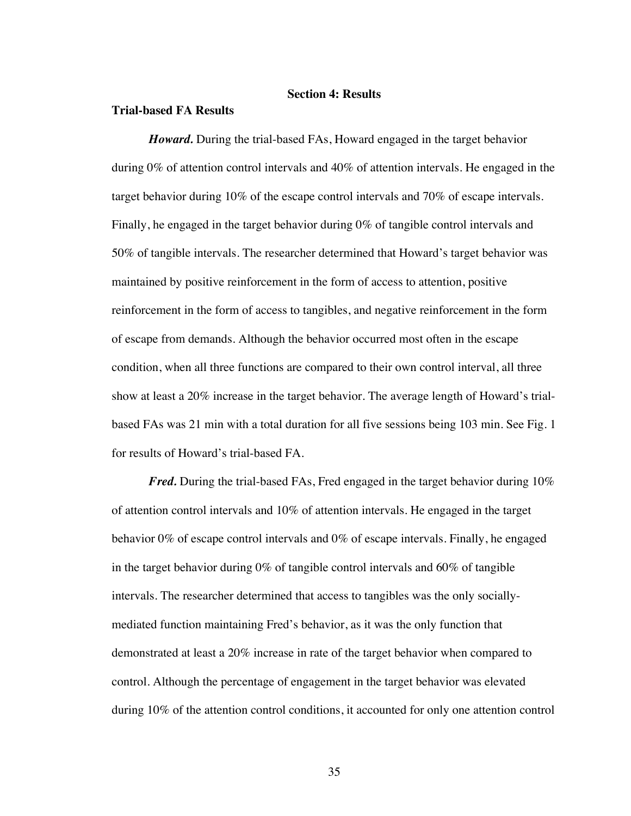## **Section 4: Results**

#### **Trial-based FA Results**

*Howard.* During the trial-based FAs, Howard engaged in the target behavior during 0% of attention control intervals and 40% of attention intervals. He engaged in the target behavior during 10% of the escape control intervals and 70% of escape intervals. Finally, he engaged in the target behavior during 0% of tangible control intervals and 50% of tangible intervals. The researcher determined that Howard's target behavior was maintained by positive reinforcement in the form of access to attention, positive reinforcement in the form of access to tangibles, and negative reinforcement in the form of escape from demands. Although the behavior occurred most often in the escape condition, when all three functions are compared to their own control interval, all three show at least a 20% increase in the target behavior. The average length of Howard's trialbased FAs was 21 min with a total duration for all five sessions being 103 min. See Fig. 1 for results of Howard's trial-based FA.

*Fred.* During the trial-based FAs, Fred engaged in the target behavior during 10% of attention control intervals and 10% of attention intervals. He engaged in the target behavior 0% of escape control intervals and 0% of escape intervals. Finally, he engaged in the target behavior during  $0\%$  of tangible control intervals and  $60\%$  of tangible intervals. The researcher determined that access to tangibles was the only sociallymediated function maintaining Fred's behavior, as it was the only function that demonstrated at least a 20% increase in rate of the target behavior when compared to control. Although the percentage of engagement in the target behavior was elevated during 10% of the attention control conditions, it accounted for only one attention control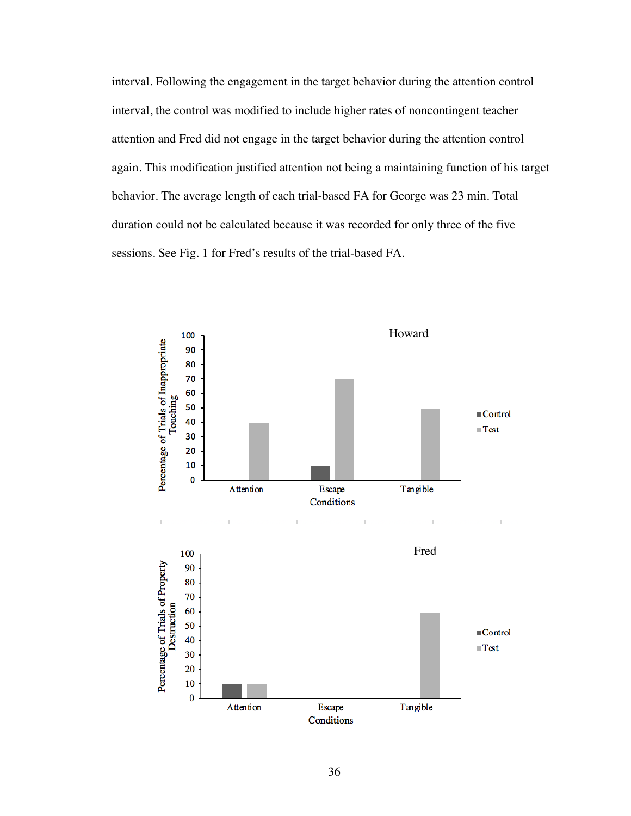interval. Following the engagement in the target behavior during the attention control interval, the control was modified to include higher rates of noncontingent teacher attention and Fred did not engage in the target behavior during the attention control again. This modification justified attention not being a maintaining function of his target behavior. The average length of each trial-based FA for George was 23 min. Total duration could not be calculated because it was recorded for only three of the five sessions. See Fig. 1 for Fred's results of the trial-based FA.

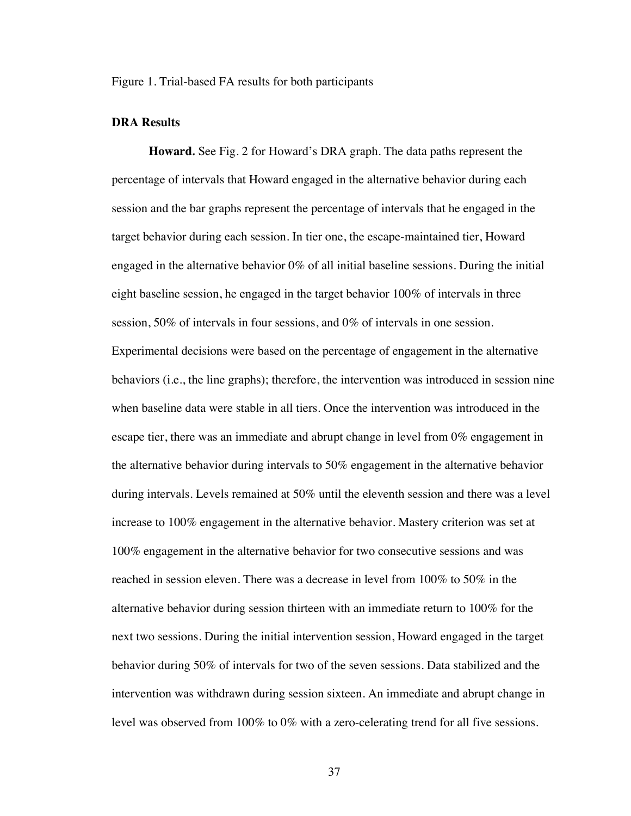Figure 1. Trial-based FA results for both participants

#### **DRA Results**

**Howard***.* See Fig. 2 for Howard's DRA graph. The data paths represent the percentage of intervals that Howard engaged in the alternative behavior during each session and the bar graphs represent the percentage of intervals that he engaged in the target behavior during each session. In tier one, the escape-maintained tier, Howard engaged in the alternative behavior 0% of all initial baseline sessions. During the initial eight baseline session, he engaged in the target behavior 100% of intervals in three session, 50% of intervals in four sessions, and 0% of intervals in one session. Experimental decisions were based on the percentage of engagement in the alternative behaviors (i.e., the line graphs); therefore, the intervention was introduced in session nine when baseline data were stable in all tiers. Once the intervention was introduced in the escape tier, there was an immediate and abrupt change in level from 0% engagement in the alternative behavior during intervals to 50% engagement in the alternative behavior during intervals. Levels remained at 50% until the eleventh session and there was a level increase to 100% engagement in the alternative behavior. Mastery criterion was set at 100% engagement in the alternative behavior for two consecutive sessions and was reached in session eleven. There was a decrease in level from 100% to 50% in the alternative behavior during session thirteen with an immediate return to 100% for the next two sessions. During the initial intervention session, Howard engaged in the target behavior during 50% of intervals for two of the seven sessions. Data stabilized and the intervention was withdrawn during session sixteen. An immediate and abrupt change in level was observed from 100% to 0% with a zero-celerating trend for all five sessions.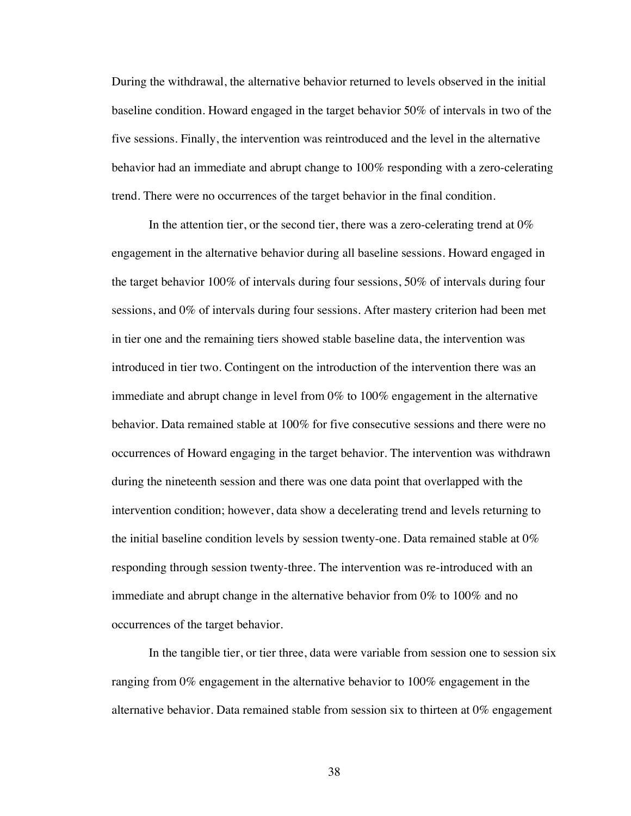During the withdrawal, the alternative behavior returned to levels observed in the initial baseline condition. Howard engaged in the target behavior 50% of intervals in two of the five sessions. Finally, the intervention was reintroduced and the level in the alternative behavior had an immediate and abrupt change to 100% responding with a zero-celerating trend. There were no occurrences of the target behavior in the final condition.

In the attention tier, or the second tier, there was a zero-celerating trend at  $0\%$ engagement in the alternative behavior during all baseline sessions. Howard engaged in the target behavior 100% of intervals during four sessions, 50% of intervals during four sessions, and 0% of intervals during four sessions. After mastery criterion had been met in tier one and the remaining tiers showed stable baseline data, the intervention was introduced in tier two. Contingent on the introduction of the intervention there was an immediate and abrupt change in level from 0% to 100% engagement in the alternative behavior. Data remained stable at 100% for five consecutive sessions and there were no occurrences of Howard engaging in the target behavior. The intervention was withdrawn during the nineteenth session and there was one data point that overlapped with the intervention condition; however, data show a decelerating trend and levels returning to the initial baseline condition levels by session twenty-one. Data remained stable at  $0\%$ responding through session twenty-three. The intervention was re-introduced with an immediate and abrupt change in the alternative behavior from 0% to 100% and no occurrences of the target behavior.

In the tangible tier, or tier three, data were variable from session one to session six ranging from 0% engagement in the alternative behavior to 100% engagement in the alternative behavior. Data remained stable from session six to thirteen at  $0\%$  engagement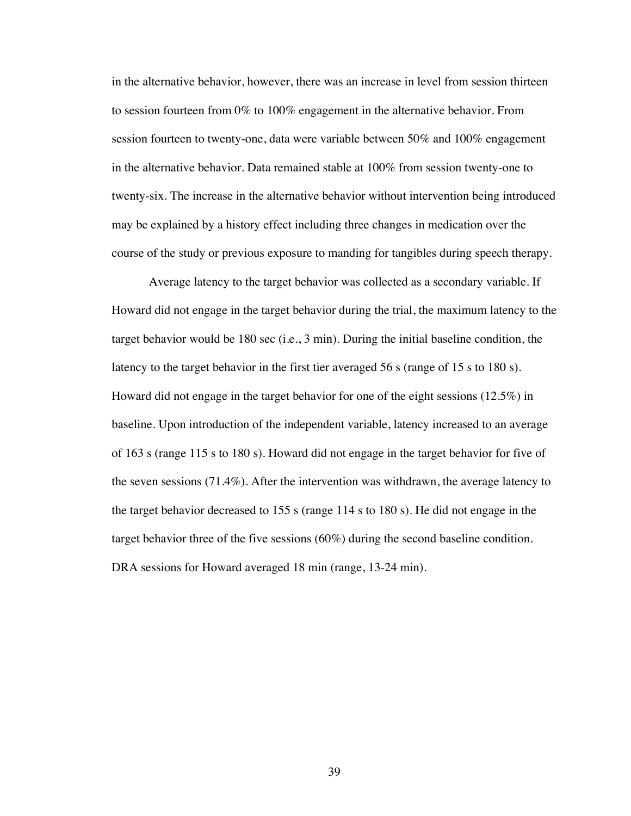in the alternative behavior, however, there was an increase in level from session thirteen to session fourteen from 0% to 100% engagement in the alternative behavior. From session fourteen to twenty-one, data were variable between 50% and 100% engagement in the alternative behavior. Data remained stable at 100% from session twenty-one to twenty-six. The increase in the alternative behavior without intervention being introduced may be explained by a history effect including three changes in medication over the course of the study or previous exposure to manding for tangibles during speech therapy.

Average latency to the target behavior was collected as a secondary variable. If Howard did not engage in the target behavior during the trial, the maximum latency to the target behavior would be 180 sec (i.e., 3 min). During the initial baseline condition, the latency to the target behavior in the first tier averaged 56 s (range of 15 s to 180 s). Howard did not engage in the target behavior for one of the eight sessions (12.5%) in baseline. Upon introduction of the independent variable, latency increased to an average of 163 s (range 115 s to 180 s). Howard did not engage in the target behavior for five of the seven sessions (71.4%). After the intervention was withdrawn, the average latency to the target behavior decreased to 155 s (range 114 s to 180 s). He did not engage in the target behavior three of the five sessions (60%) during the second baseline condition. DRA sessions for Howard averaged 18 min (range, 13-24 min).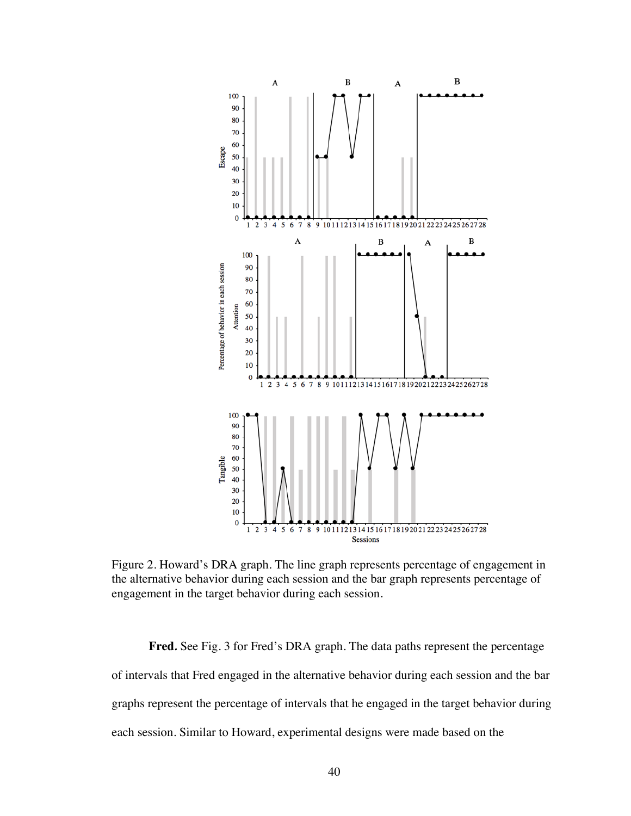

Figure 2. Howard's DRA graph. The line graph represents percentage of engagement in the alternative behavior during each session and the bar graph represents percentage of engagement in the target behavior during each session.

**Fred***.* See Fig. 3 for Fred's DRA graph. The data paths represent the percentage of intervals that Fred engaged in the alternative behavior during each session and the bar graphs represent the percentage of intervals that he engaged in the target behavior during each session. Similar to Howard, experimental designs were made based on the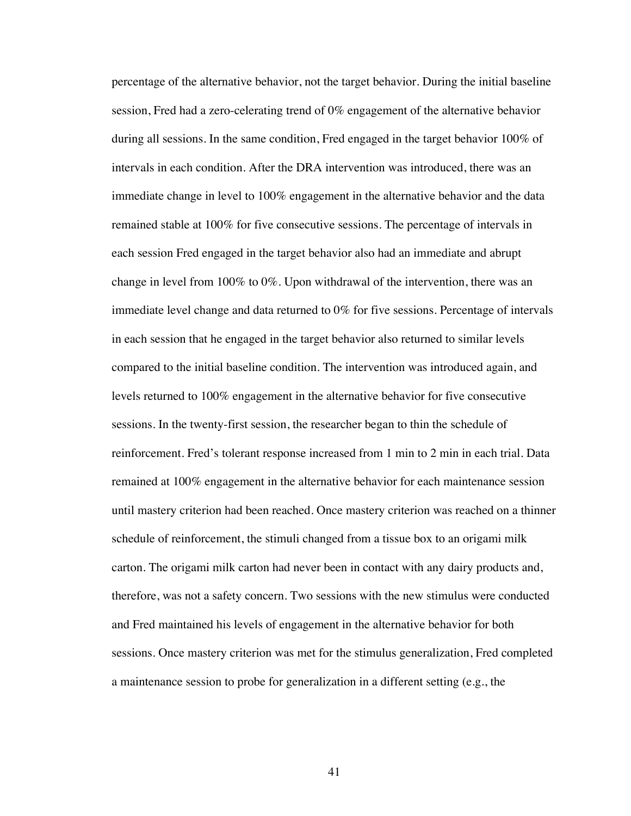percentage of the alternative behavior, not the target behavior. During the initial baseline session, Fred had a zero-celerating trend of 0% engagement of the alternative behavior during all sessions. In the same condition, Fred engaged in the target behavior 100% of intervals in each condition. After the DRA intervention was introduced, there was an immediate change in level to 100% engagement in the alternative behavior and the data remained stable at 100% for five consecutive sessions. The percentage of intervals in each session Fred engaged in the target behavior also had an immediate and abrupt change in level from 100% to 0%. Upon withdrawal of the intervention, there was an immediate level change and data returned to 0% for five sessions. Percentage of intervals in each session that he engaged in the target behavior also returned to similar levels compared to the initial baseline condition. The intervention was introduced again, and levels returned to 100% engagement in the alternative behavior for five consecutive sessions. In the twenty-first session, the researcher began to thin the schedule of reinforcement. Fred's tolerant response increased from 1 min to 2 min in each trial. Data remained at 100% engagement in the alternative behavior for each maintenance session until mastery criterion had been reached. Once mastery criterion was reached on a thinner schedule of reinforcement, the stimuli changed from a tissue box to an origami milk carton. The origami milk carton had never been in contact with any dairy products and, therefore, was not a safety concern. Two sessions with the new stimulus were conducted and Fred maintained his levels of engagement in the alternative behavior for both sessions. Once mastery criterion was met for the stimulus generalization, Fred completed a maintenance session to probe for generalization in a different setting (e.g., the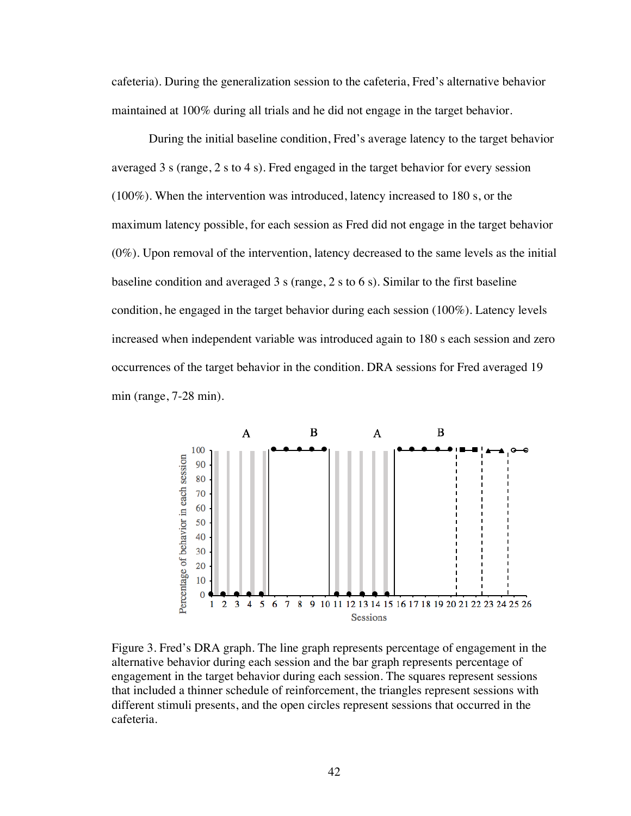cafeteria). During the generalization session to the cafeteria, Fred's alternative behavior maintained at 100% during all trials and he did not engage in the target behavior.

During the initial baseline condition, Fred's average latency to the target behavior averaged 3 s (range, 2 s to 4 s). Fred engaged in the target behavior for every session (100%). When the intervention was introduced, latency increased to 180 s, or the maximum latency possible, for each session as Fred did not engage in the target behavior (0%). Upon removal of the intervention, latency decreased to the same levels as the initial baseline condition and averaged 3 s (range, 2 s to 6 s). Similar to the first baseline condition, he engaged in the target behavior during each session (100%). Latency levels increased when independent variable was introduced again to 180 s each session and zero occurrences of the target behavior in the condition. DRA sessions for Fred averaged 19 min (range, 7-28 min).



Figure 3. Fred's DRA graph. The line graph represents percentage of engagement in the alternative behavior during each session and the bar graph represents percentage of engagement in the target behavior during each session. The squares represent sessions that included a thinner schedule of reinforcement, the triangles represent sessions with different stimuli presents, and the open circles represent sessions that occurred in the cafeteria.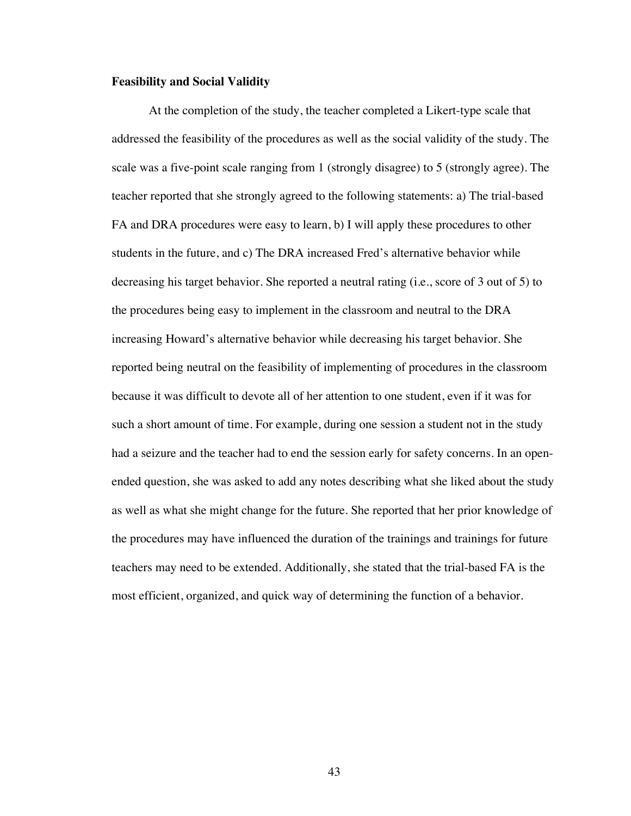#### **Feasibility and Social Validity**

At the completion of the study, the teacher completed a Likert-type scale that addressed the feasibility of the procedures as well as the social validity of the study. The scale was a five-point scale ranging from 1 (strongly disagree) to 5 (strongly agree). The teacher reported that she strongly agreed to the following statements: a) The trial-based FA and DRA procedures were easy to learn, b) I will apply these procedures to other students in the future, and c) The DRA increased Fred's alternative behavior while decreasing his target behavior. She reported a neutral rating (i.e., score of 3 out of 5) to the procedures being easy to implement in the classroom and neutral to the DRA increasing Howard's alternative behavior while decreasing his target behavior. She reported being neutral on the feasibility of implementing of procedures in the classroom because it was difficult to devote all of her attention to one student, even if it was for such a short amount of time. For example, during one session a student not in the study had a seizure and the teacher had to end the session early for safety concerns. In an openended question, she was asked to add any notes describing what she liked about the study as well as what she might change for the future. She reported that her prior knowledge of the procedures may have influenced the duration of the trainings and trainings for future teachers may need to be extended. Additionally, she stated that the trial-based FA is the most efficient, organized, and quick way of determining the function of a behavior.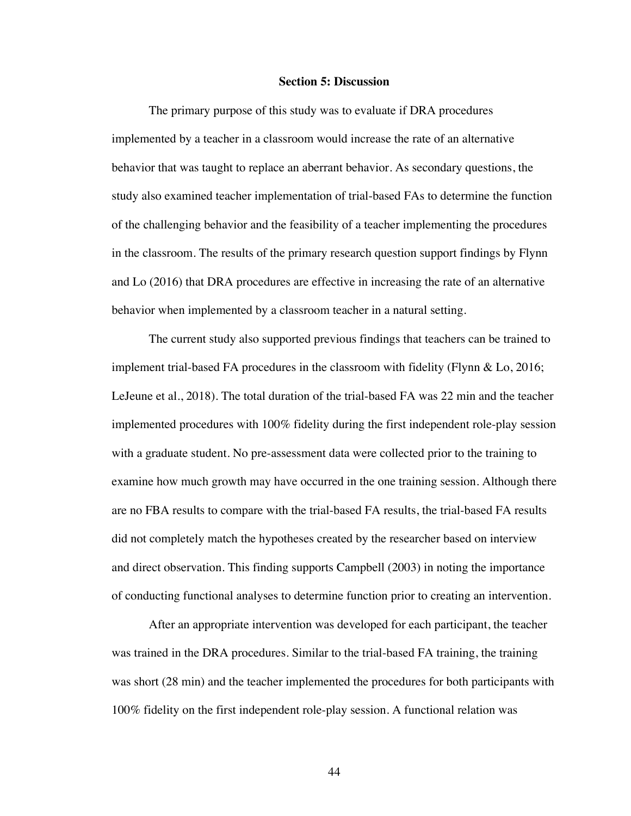#### **Section 5: Discussion**

The primary purpose of this study was to evaluate if DRA procedures implemented by a teacher in a classroom would increase the rate of an alternative behavior that was taught to replace an aberrant behavior. As secondary questions, the study also examined teacher implementation of trial-based FAs to determine the function of the challenging behavior and the feasibility of a teacher implementing the procedures in the classroom. The results of the primary research question support findings by Flynn and Lo (2016) that DRA procedures are effective in increasing the rate of an alternative behavior when implemented by a classroom teacher in a natural setting.

The current study also supported previous findings that teachers can be trained to implement trial-based FA procedures in the classroom with fidelity (Flynn & Lo, 2016; LeJeune et al., 2018). The total duration of the trial-based FA was 22 min and the teacher implemented procedures with 100% fidelity during the first independent role-play session with a graduate student. No pre-assessment data were collected prior to the training to examine how much growth may have occurred in the one training session. Although there are no FBA results to compare with the trial-based FA results, the trial-based FA results did not completely match the hypotheses created by the researcher based on interview and direct observation. This finding supports Campbell (2003) in noting the importance of conducting functional analyses to determine function prior to creating an intervention.

After an appropriate intervention was developed for each participant, the teacher was trained in the DRA procedures. Similar to the trial-based FA training, the training was short (28 min) and the teacher implemented the procedures for both participants with 100% fidelity on the first independent role-play session. A functional relation was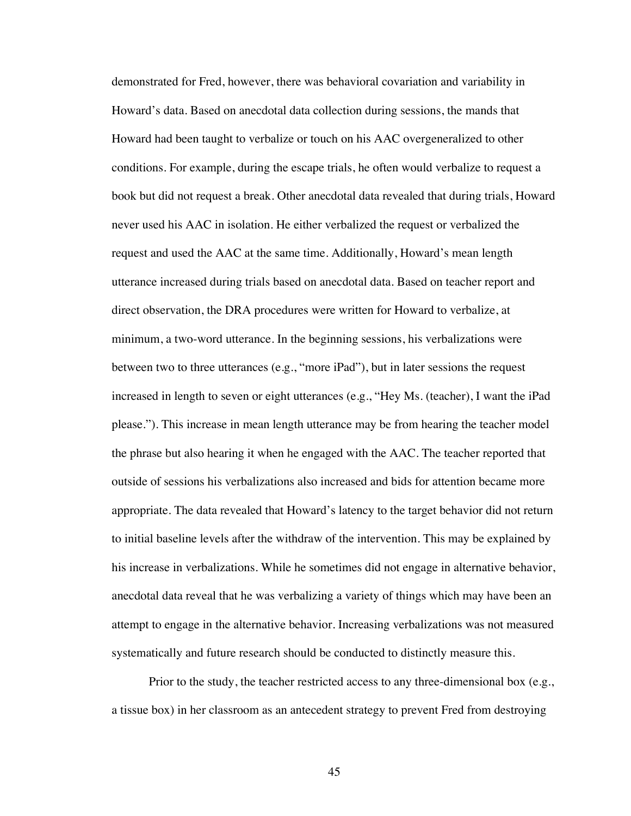demonstrated for Fred, however, there was behavioral covariation and variability in Howard's data. Based on anecdotal data collection during sessions, the mands that Howard had been taught to verbalize or touch on his AAC overgeneralized to other conditions. For example, during the escape trials, he often would verbalize to request a book but did not request a break. Other anecdotal data revealed that during trials, Howard never used his AAC in isolation. He either verbalized the request or verbalized the request and used the AAC at the same time. Additionally, Howard's mean length utterance increased during trials based on anecdotal data. Based on teacher report and direct observation, the DRA procedures were written for Howard to verbalize, at minimum, a two-word utterance. In the beginning sessions, his verbalizations were between two to three utterances (e.g., "more iPad"), but in later sessions the request increased in length to seven or eight utterances (e.g., "Hey Ms. (teacher), I want the iPad please."). This increase in mean length utterance may be from hearing the teacher model the phrase but also hearing it when he engaged with the AAC. The teacher reported that outside of sessions his verbalizations also increased and bids for attention became more appropriate. The data revealed that Howard's latency to the target behavior did not return to initial baseline levels after the withdraw of the intervention. This may be explained by his increase in verbalizations. While he sometimes did not engage in alternative behavior, anecdotal data reveal that he was verbalizing a variety of things which may have been an attempt to engage in the alternative behavior. Increasing verbalizations was not measured systematically and future research should be conducted to distinctly measure this.

Prior to the study, the teacher restricted access to any three-dimensional box (e.g., a tissue box) in her classroom as an antecedent strategy to prevent Fred from destroying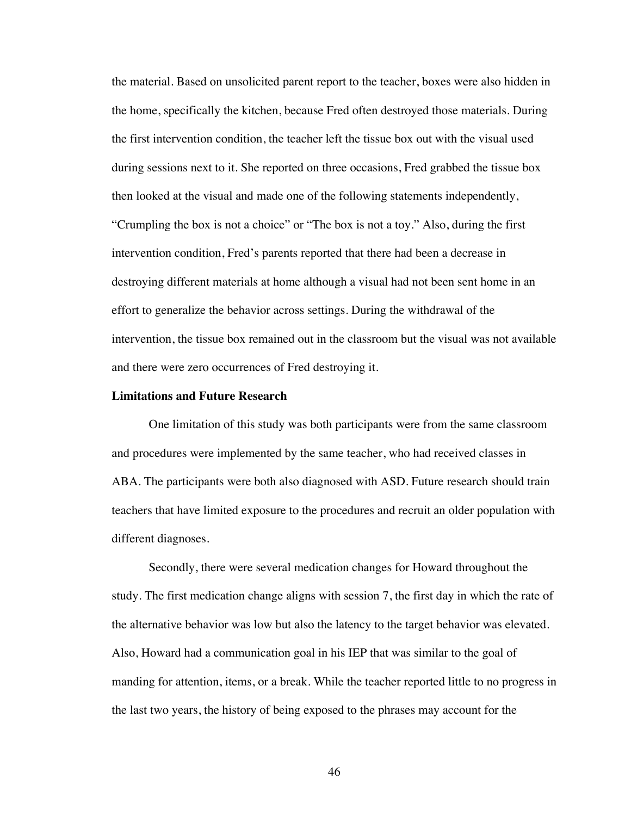the material. Based on unsolicited parent report to the teacher, boxes were also hidden in the home, specifically the kitchen, because Fred often destroyed those materials. During the first intervention condition, the teacher left the tissue box out with the visual used during sessions next to it. She reported on three occasions, Fred grabbed the tissue box then looked at the visual and made one of the following statements independently, "Crumpling the box is not a choice" or "The box is not a toy." Also, during the first intervention condition, Fred's parents reported that there had been a decrease in destroying different materials at home although a visual had not been sent home in an effort to generalize the behavior across settings. During the withdrawal of the intervention, the tissue box remained out in the classroom but the visual was not available and there were zero occurrences of Fred destroying it.

#### **Limitations and Future Research**

One limitation of this study was both participants were from the same classroom and procedures were implemented by the same teacher, who had received classes in ABA. The participants were both also diagnosed with ASD. Future research should train teachers that have limited exposure to the procedures and recruit an older population with different diagnoses.

Secondly, there were several medication changes for Howard throughout the study. The first medication change aligns with session 7, the first day in which the rate of the alternative behavior was low but also the latency to the target behavior was elevated. Also, Howard had a communication goal in his IEP that was similar to the goal of manding for attention, items, or a break. While the teacher reported little to no progress in the last two years, the history of being exposed to the phrases may account for the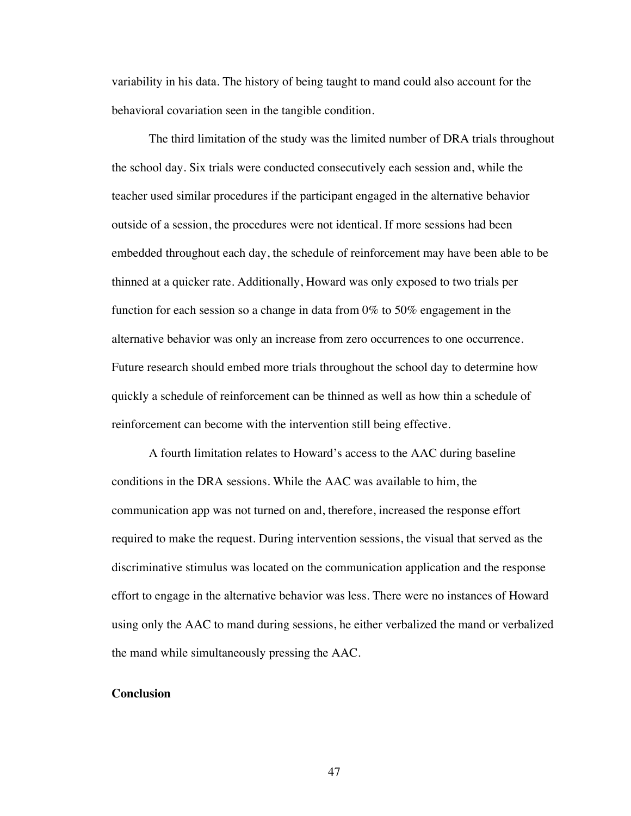variability in his data. The history of being taught to mand could also account for the behavioral covariation seen in the tangible condition.

The third limitation of the study was the limited number of DRA trials throughout the school day. Six trials were conducted consecutively each session and, while the teacher used similar procedures if the participant engaged in the alternative behavior outside of a session, the procedures were not identical. If more sessions had been embedded throughout each day, the schedule of reinforcement may have been able to be thinned at a quicker rate. Additionally, Howard was only exposed to two trials per function for each session so a change in data from 0% to 50% engagement in the alternative behavior was only an increase from zero occurrences to one occurrence. Future research should embed more trials throughout the school day to determine how quickly a schedule of reinforcement can be thinned as well as how thin a schedule of reinforcement can become with the intervention still being effective.

A fourth limitation relates to Howard's access to the AAC during baseline conditions in the DRA sessions. While the AAC was available to him, the communication app was not turned on and, therefore, increased the response effort required to make the request. During intervention sessions, the visual that served as the discriminative stimulus was located on the communication application and the response effort to engage in the alternative behavior was less. There were no instances of Howard using only the AAC to mand during sessions, he either verbalized the mand or verbalized the mand while simultaneously pressing the AAC.

#### **Conclusion**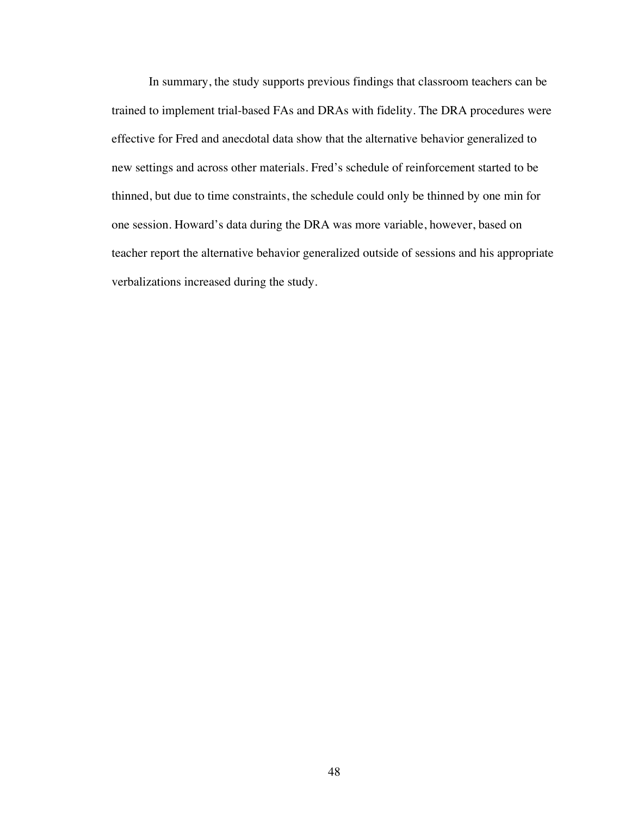In summary, the study supports previous findings that classroom teachers can be trained to implement trial-based FAs and DRAs with fidelity. The DRA procedures were effective for Fred and anecdotal data show that the alternative behavior generalized to new settings and across other materials. Fred's schedule of reinforcement started to be thinned, but due to time constraints, the schedule could only be thinned by one min for one session. Howard's data during the DRA was more variable, however, based on teacher report the alternative behavior generalized outside of sessions and his appropriate verbalizations increased during the study.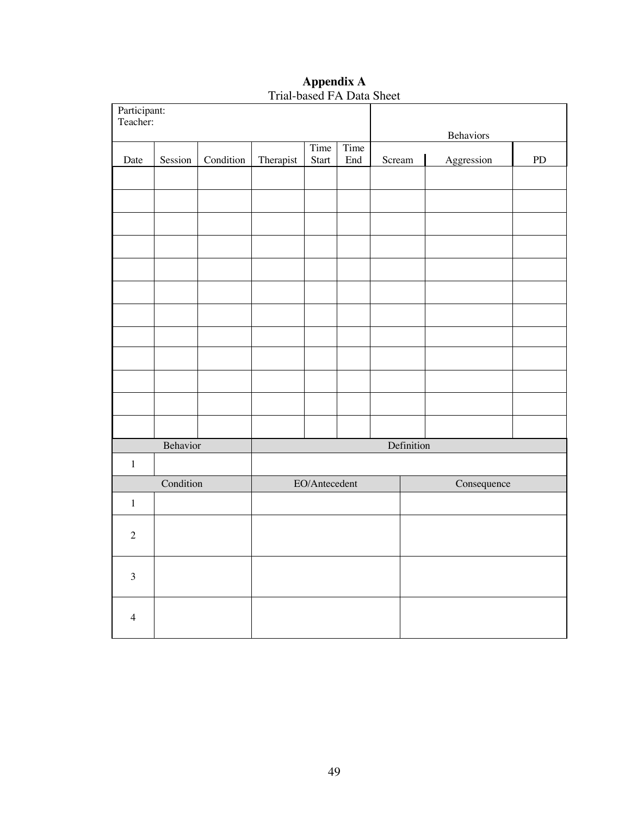|                | Participant:<br>Teacher: |           |           |               |      |        | Behaviors  |             |            |
|----------------|--------------------------|-----------|-----------|---------------|------|--------|------------|-------------|------------|
|                |                          |           |           | Time          | Time |        |            |             |            |
| Date           | Session                  | Condition | Therapist | Start         | End  | Scream |            | Aggression  | ${\rm PD}$ |
|                |                          |           |           |               |      |        |            |             |            |
|                |                          |           |           |               |      |        |            |             |            |
|                |                          |           |           |               |      |        |            |             |            |
|                |                          |           |           |               |      |        |            |             |            |
|                |                          |           |           |               |      |        |            |             |            |
|                |                          |           |           |               |      |        |            |             |            |
|                |                          |           |           |               |      |        |            |             |            |
|                |                          |           |           |               |      |        |            |             |            |
|                |                          |           |           |               |      |        |            |             |            |
|                |                          |           |           |               |      |        |            |             |            |
|                |                          |           |           |               |      |        |            |             |            |
|                |                          |           |           |               |      |        |            |             |            |
|                | Behavior                 |           |           |               |      |        | Definition |             |            |
| $\,1$          |                          |           |           |               |      |        |            |             |            |
|                | Condition                |           |           | EO/Antecedent |      |        |            | Consequence |            |
| $\,1$          |                          |           |           |               |      |        |            |             |            |
| $\sqrt{2}$     |                          |           |           |               |      |        |            |             |            |
| $\overline{3}$ |                          |           |           |               |      |        |            |             |            |
| $\overline{4}$ |                          |           |           |               |      |        |            |             |            |

**Appendix A** Trial-based FA Data Sheet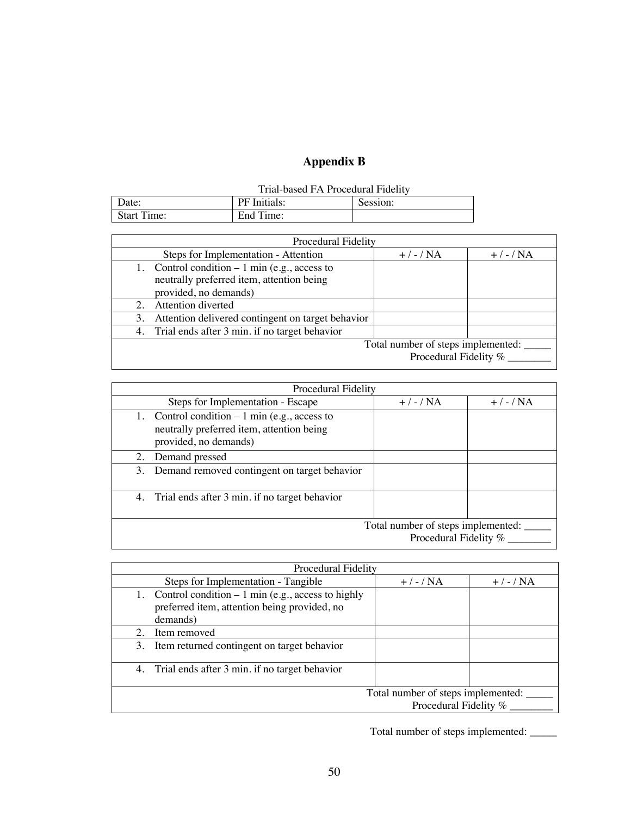# **Appendix B**

| Date:                        | Initials:<br>ÞЕ | Session: |
|------------------------------|-----------------|----------|
| Start<br>$\sim$<br>$\lim$ e: | End Ti<br>Time: |          |

| Procedural Fidelity                                     |                                    |              |
|---------------------------------------------------------|------------------------------------|--------------|
| Steps for Implementation - Attention                    | $+$ / - / NA                       | $+$ / - / NA |
| 1. Control condition $-1$ min (e.g., access to          |                                    |              |
| neutrally preferred item, attention being               |                                    |              |
| provided, no demands)                                   |                                    |              |
| Attention diverted                                      |                                    |              |
| Attention delivered contingent on target behavior<br>3. |                                    |              |
| 4. Trial ends after 3 min. if no target behavior        |                                    |              |
|                                                         | Total number of steps implemented: |              |
|                                                         | Procedural Fidelity %              |              |
|                                                         |                                    |              |

|                                                             | Procedural Fidelity                                                                                                  |              |              |  |  |  |  |
|-------------------------------------------------------------|----------------------------------------------------------------------------------------------------------------------|--------------|--------------|--|--|--|--|
|                                                             | Steps for Implementation - Escape                                                                                    | $+$ / - / NA | $+$ / - / NA |  |  |  |  |
|                                                             | 1. Control condition $-1$ min (e.g., access to<br>neutrally preferred item, attention being<br>provided, no demands) |              |              |  |  |  |  |
|                                                             | 2. Demand pressed                                                                                                    |              |              |  |  |  |  |
|                                                             | 3. Demand removed contingent on target behavior                                                                      |              |              |  |  |  |  |
|                                                             | 4. Trial ends after 3 min. if no target behavior                                                                     |              |              |  |  |  |  |
| Total number of steps implemented:<br>Procedural Fidelity % |                                                                                                                      |              |              |  |  |  |  |

|    | <b>Procedural Fidelity</b>                                                                                        |              |              |  |  |  |  |  |
|----|-------------------------------------------------------------------------------------------------------------------|--------------|--------------|--|--|--|--|--|
|    | Steps for Implementation - Tangible                                                                               | $+$ / - / NA | $+$ / - / NA |  |  |  |  |  |
|    | 1. Control condition $-1$ min (e.g., access to highly<br>preferred item, attention being provided, no<br>demands) |              |              |  |  |  |  |  |
| 2. | Item removed                                                                                                      |              |              |  |  |  |  |  |
| 3. | Item returned contingent on target behavior                                                                       |              |              |  |  |  |  |  |
|    | 4. Trial ends after 3 min. if no target behavior                                                                  |              |              |  |  |  |  |  |
|    | Total number of steps implemented:<br>Procedural Fidelity %                                                       |              |              |  |  |  |  |  |

Total number of steps implemented: \_\_\_\_\_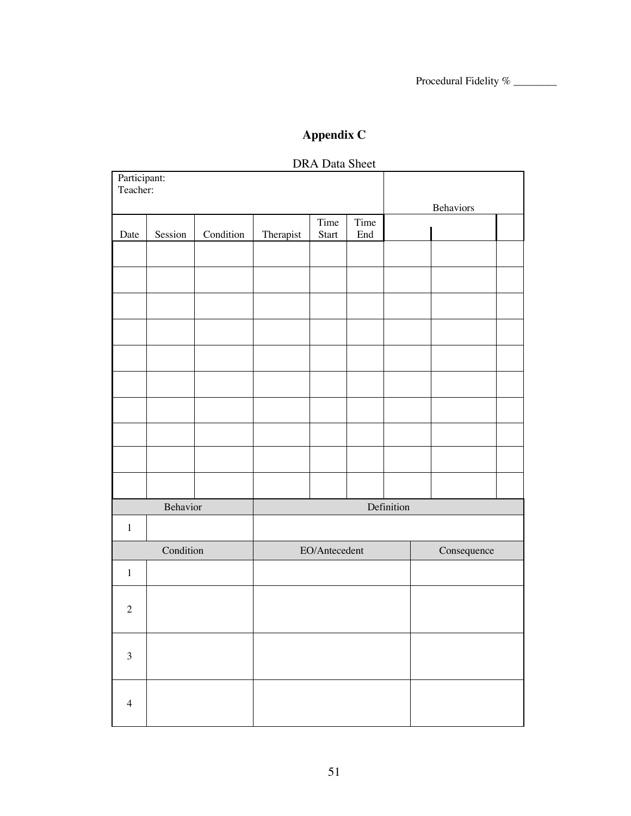## **Appendix C**

# Participant: Teacher: Behaviors Date | Session | Condition | Therapist Time Start Time End Behavior Definition 1 Condition EO/Antecedent Consequence 1 2 3 4

## DRA Data Sheet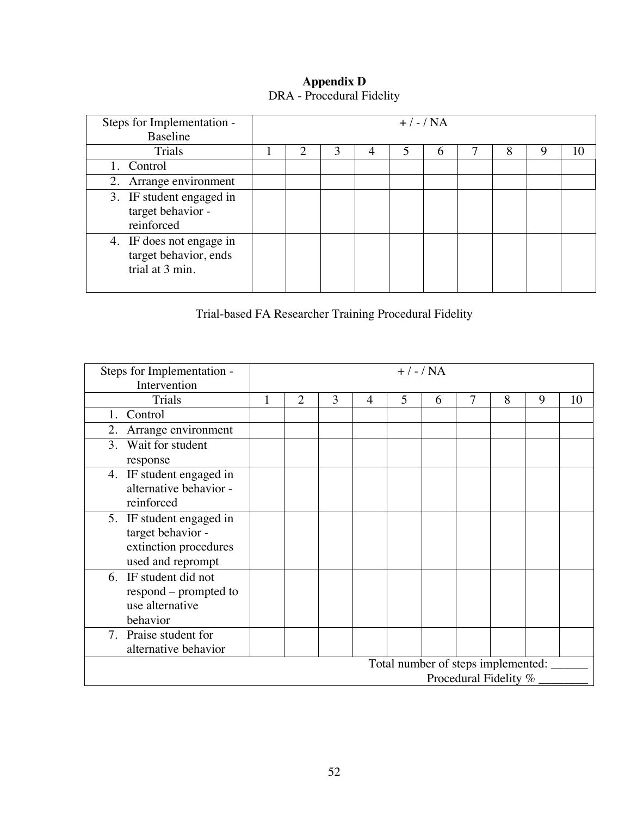| Steps for Implementation -<br>Baseline                               | $+$ / - / NA |   |   |   |  |   |  |   |   |    |
|----------------------------------------------------------------------|--------------|---|---|---|--|---|--|---|---|----|
| Trials                                                               |              | ↑ | 3 | 4 |  | 6 |  | 8 | q | 10 |
| 1. Control                                                           |              |   |   |   |  |   |  |   |   |    |
| 2. Arrange environment                                               |              |   |   |   |  |   |  |   |   |    |
| 3. IF student engaged in<br>target behavior -<br>reinforced          |              |   |   |   |  |   |  |   |   |    |
| 4. IF does not engage in<br>target behavior, ends<br>trial at 3 min. |              |   |   |   |  |   |  |   |   |    |

## **Appendix D** DRA - Procedural Fidelity

Trial-based FA Researcher Training Procedural Fidelity

| Steps for Implementation -<br>Intervention | $+$ / - / NA |                |   |   |   |   |   |                                    |   |    |
|--------------------------------------------|--------------|----------------|---|---|---|---|---|------------------------------------|---|----|
|                                            |              |                |   |   |   |   |   |                                    |   |    |
| Trials                                     |              | $\overline{2}$ | 3 | 4 | 5 | 6 | 7 | 8                                  | 9 | 10 |
| Control                                    |              |                |   |   |   |   |   |                                    |   |    |
| Arrange environment<br>2.                  |              |                |   |   |   |   |   |                                    |   |    |
| Wait for student<br>3.                     |              |                |   |   |   |   |   |                                    |   |    |
| response                                   |              |                |   |   |   |   |   |                                    |   |    |
| 4. IF student engaged in                   |              |                |   |   |   |   |   |                                    |   |    |
| alternative behavior -                     |              |                |   |   |   |   |   |                                    |   |    |
| reinforced                                 |              |                |   |   |   |   |   |                                    |   |    |
| 5. IF student engaged in                   |              |                |   |   |   |   |   |                                    |   |    |
| target behavior -                          |              |                |   |   |   |   |   |                                    |   |    |
| extinction procedures                      |              |                |   |   |   |   |   |                                    |   |    |
| used and reprompt                          |              |                |   |   |   |   |   |                                    |   |    |
| 6. IF student did not                      |              |                |   |   |   |   |   |                                    |   |    |
| respond – prompted to                      |              |                |   |   |   |   |   |                                    |   |    |
| use alternative                            |              |                |   |   |   |   |   |                                    |   |    |
| behavior                                   |              |                |   |   |   |   |   |                                    |   |    |
| 7. Praise student for                      |              |                |   |   |   |   |   |                                    |   |    |
| alternative behavior                       |              |                |   |   |   |   |   |                                    |   |    |
|                                            |              |                |   |   |   |   |   | Total number of steps implemented: |   |    |
|                                            |              |                |   |   |   |   |   | Procedural Fidelity %              |   |    |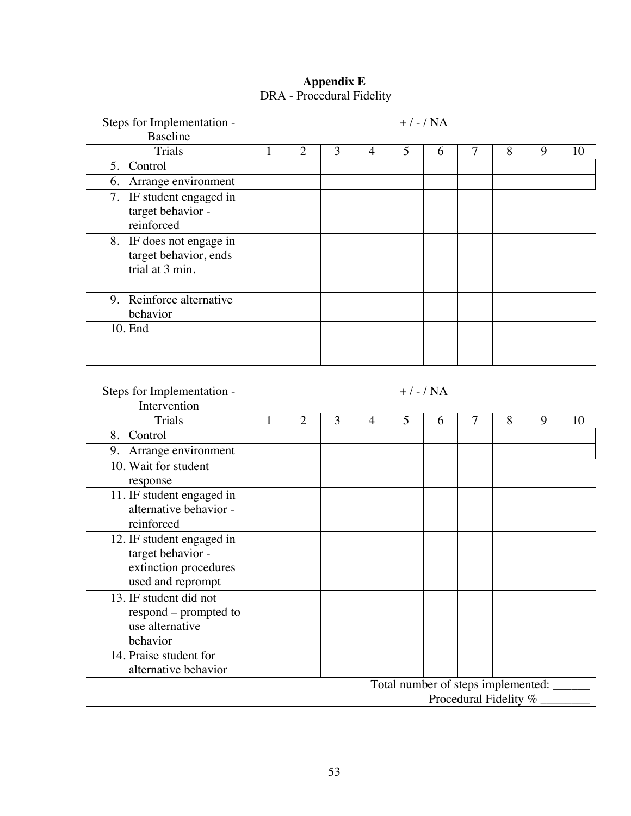| Steps for Implementation -<br><b>Baseline</b>                        | $+$ / - / NA |   |   |                |   |   |   |   |    |
|----------------------------------------------------------------------|--------------|---|---|----------------|---|---|---|---|----|
| Trials                                                               | 1            | 2 | 3 | $\overline{4}$ | 5 | 6 | 8 | 9 | 10 |
| 5. Control                                                           |              |   |   |                |   |   |   |   |    |
| 6. Arrange environment                                               |              |   |   |                |   |   |   |   |    |
| 7. IF student engaged in<br>target behavior -<br>reinforced          |              |   |   |                |   |   |   |   |    |
| 8. IF does not engage in<br>target behavior, ends<br>trial at 3 min. |              |   |   |                |   |   |   |   |    |
| 9. Reinforce alternative<br>behavior                                 |              |   |   |                |   |   |   |   |    |
| 10. End                                                              |              |   |   |                |   |   |   |   |    |

## **Appendix E** DRA - Procedural Fidelity

| Steps for Implementation - | $+$ / - / NA                       |                |   |   |   |   |   |   |   |    |
|----------------------------|------------------------------------|----------------|---|---|---|---|---|---|---|----|
| Intervention               |                                    |                |   |   |   |   |   |   |   |    |
| Trials                     |                                    | $\overline{2}$ | 3 | 4 | 5 | 6 | 7 | 8 | 9 | 10 |
| Control<br>8.              |                                    |                |   |   |   |   |   |   |   |    |
| Arrange environment<br>9.  |                                    |                |   |   |   |   |   |   |   |    |
| 10. Wait for student       |                                    |                |   |   |   |   |   |   |   |    |
| response                   |                                    |                |   |   |   |   |   |   |   |    |
| 11. IF student engaged in  |                                    |                |   |   |   |   |   |   |   |    |
| alternative behavior -     |                                    |                |   |   |   |   |   |   |   |    |
| reinforced                 |                                    |                |   |   |   |   |   |   |   |    |
| 12. IF student engaged in  |                                    |                |   |   |   |   |   |   |   |    |
| target behavior -          |                                    |                |   |   |   |   |   |   |   |    |
| extinction procedures      |                                    |                |   |   |   |   |   |   |   |    |
| used and reprompt          |                                    |                |   |   |   |   |   |   |   |    |
| 13. IF student did not     |                                    |                |   |   |   |   |   |   |   |    |
| respond – prompted to      |                                    |                |   |   |   |   |   |   |   |    |
| use alternative            |                                    |                |   |   |   |   |   |   |   |    |
| behavior                   |                                    |                |   |   |   |   |   |   |   |    |
| 14. Praise student for     |                                    |                |   |   |   |   |   |   |   |    |
| alternative behavior       |                                    |                |   |   |   |   |   |   |   |    |
|                            | Total number of steps implemented: |                |   |   |   |   |   |   |   |    |
|                            | Procedural Fidelity %              |                |   |   |   |   |   |   |   |    |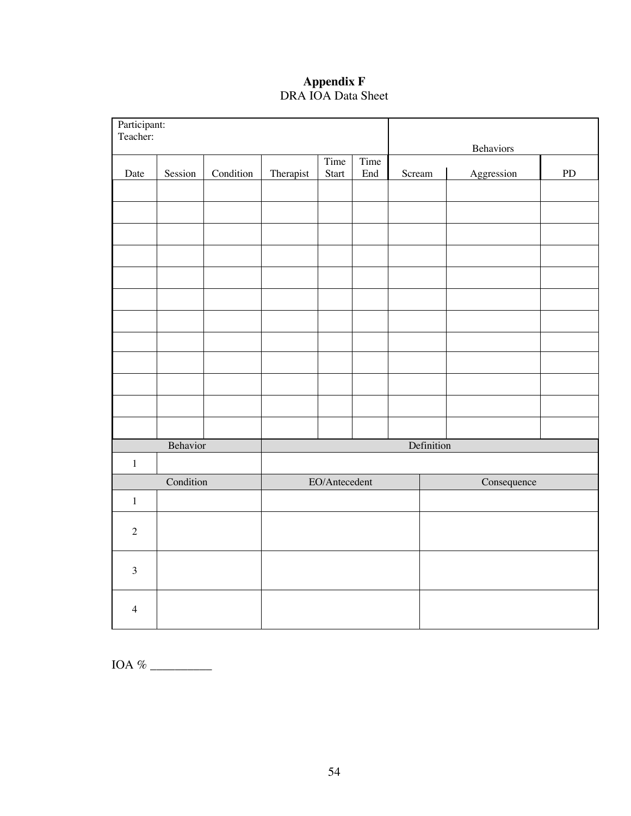## **Appendix F** DRA IOA Data Sheet

| Participant:<br>Teacher: |           |           |           |               |                      |            |             |            |
|--------------------------|-----------|-----------|-----------|---------------|----------------------|------------|-------------|------------|
|                          |           |           |           | Time          | Time                 |            | Behaviors   |            |
| Date                     | Session   | Condition | Therapist | Start         | $\operatorname{End}$ | Scream     | Aggression  | ${\rm PD}$ |
|                          |           |           |           |               |                      |            |             |            |
|                          |           |           |           |               |                      |            |             |            |
|                          |           |           |           |               |                      |            |             |            |
|                          |           |           |           |               |                      |            |             |            |
|                          |           |           |           |               |                      |            |             |            |
|                          |           |           |           |               |                      |            |             |            |
|                          |           |           |           |               |                      |            |             |            |
|                          |           |           |           |               |                      |            |             |            |
|                          |           |           |           |               |                      |            |             |            |
|                          |           |           |           |               |                      |            |             |            |
|                          |           |           |           |               |                      |            |             |            |
|                          |           |           |           |               |                      |            |             |            |
|                          | Behavior  |           |           |               |                      | Definition |             |            |
| $\,1\,$                  | Condition |           |           | EO/Antecedent |                      |            |             |            |
| $\,1\,$                  |           |           |           |               |                      |            | Consequence |            |
|                          |           |           |           |               |                      |            |             |            |
| $\sqrt{2}$               |           |           |           |               |                      |            |             |            |
| $\overline{3}$           |           |           |           |               |                      |            |             |            |
| $\overline{4}$           |           |           |           |               |                      |            |             |            |

IOA % \_\_\_\_\_\_\_\_\_\_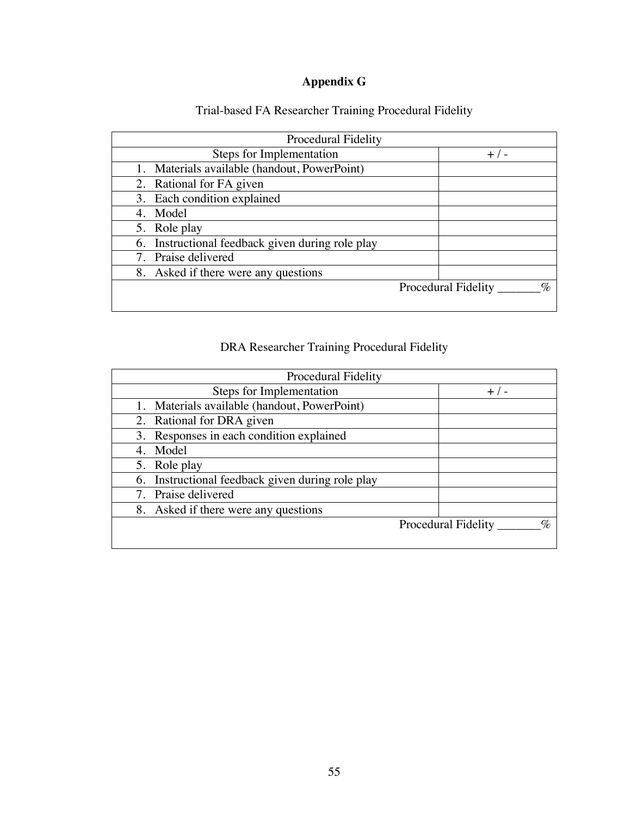# **Appendix G**

| <b>Procedural Fidelity</b>                       |                                               |
|--------------------------------------------------|-----------------------------------------------|
| Steps for Implementation                         | $+$ / -                                       |
| 1. Materials available (handout, PowerPoint)     |                                               |
| 2. Rational for FA given                         |                                               |
| 3. Each condition explained                      |                                               |
| 4. Model                                         |                                               |
| 5. Role play                                     |                                               |
| 6. Instructional feedback given during role play |                                               |
| 7. Praise delivered                              |                                               |
| 8. Asked if there were any questions             |                                               |
|                                                  | $\mathcal{O}_C$<br><b>Procedural Fidelity</b> |
|                                                  |                                               |

# Trial-based FA Researcher Training Procedural Fidelity

## DRA Researcher Training Procedural Fidelity

| <b>Procedural Fidelity</b>                       |                                               |
|--------------------------------------------------|-----------------------------------------------|
| Steps for Implementation                         | $+$ / -                                       |
| 1. Materials available (handout, PowerPoint)     |                                               |
| 2. Rational for DRA given                        |                                               |
| 3. Responses in each condition explained         |                                               |
| 4. Model                                         |                                               |
| 5. Role play                                     |                                               |
| 6. Instructional feedback given during role play |                                               |
| 7. Praise delivered                              |                                               |
| 8. Asked if there were any questions             |                                               |
|                                                  | $\mathcal{O}_D$<br><b>Procedural Fidelity</b> |
|                                                  |                                               |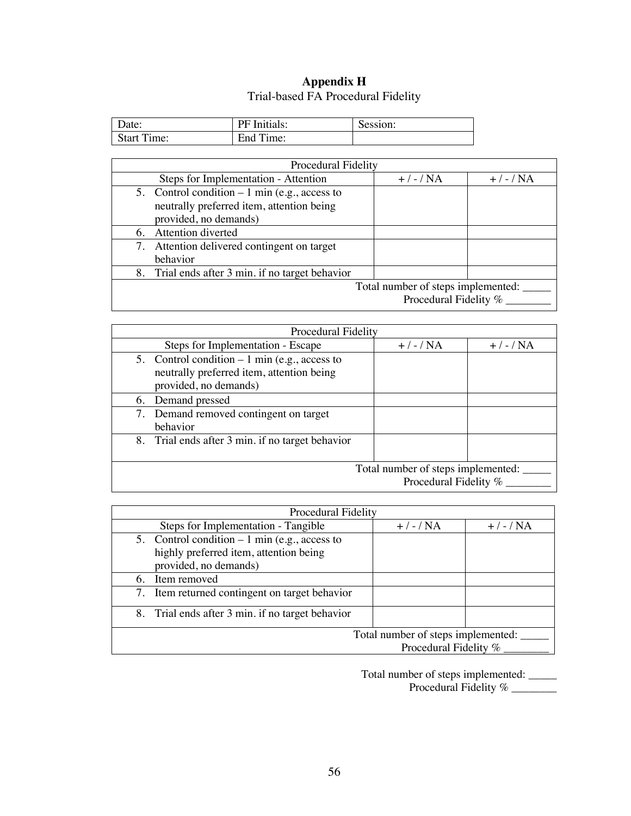## **Appendix H** Trial-based FA Procedural Fidelity

| Date:          | PF Initials:   | Session: |
|----------------|----------------|----------|
| Start<br>Time: | End Ti<br>ime: |          |

| <b>Procedural Fidelity</b>                                                                                           |              |              |  |  |  |  |
|----------------------------------------------------------------------------------------------------------------------|--------------|--------------|--|--|--|--|
| Steps for Implementation - Attention                                                                                 | $+$ / - / NA | $+$ / - / NA |  |  |  |  |
| 5. Control condition $-1$ min (e.g., access to<br>neutrally preferred item, attention being<br>provided, no demands) |              |              |  |  |  |  |
| Attention diverted<br>6.                                                                                             |              |              |  |  |  |  |
| 7. Attention delivered contingent on target<br>behavior                                                              |              |              |  |  |  |  |
| 8. Trial ends after 3 min. if no target behavior                                                                     |              |              |  |  |  |  |
| Total number of steps implemented:<br>Procedural Fidelity %                                                          |              |              |  |  |  |  |

| <b>Procedural Fidelity</b>                                                                                           |              |              |  |  |  |  |
|----------------------------------------------------------------------------------------------------------------------|--------------|--------------|--|--|--|--|
| Steps for Implementation - Escape                                                                                    | $+$ / - / NA | $+$ / - / NA |  |  |  |  |
| 5. Control condition $-1$ min (e.g., access to<br>neutrally preferred item, attention being<br>provided, no demands) |              |              |  |  |  |  |
| 6. Demand pressed                                                                                                    |              |              |  |  |  |  |
| 7. Demand removed contingent on target<br>behavior                                                                   |              |              |  |  |  |  |
| 8. Trial ends after 3 min. if no target behavior                                                                     |              |              |  |  |  |  |
| Total number of steps implemented:<br>Procedural Fidelity %                                                          |              |              |  |  |  |  |

|    | <b>Procedural Fidelity</b>                       |              |              |  |  |  |  |  |  |
|----|--------------------------------------------------|--------------|--------------|--|--|--|--|--|--|
|    | Steps for Implementation - Tangible              | $+$ / - / NA | $+$ / - / NA |  |  |  |  |  |  |
|    | 5. Control condition $-1$ min (e.g., access to   |              |              |  |  |  |  |  |  |
|    | highly preferred item, attention being           |              |              |  |  |  |  |  |  |
|    | provided, no demands)                            |              |              |  |  |  |  |  |  |
| 6. | Item removed                                     |              |              |  |  |  |  |  |  |
|    | 7. Item returned contingent on target behavior   |              |              |  |  |  |  |  |  |
|    | 8. Trial ends after 3 min. if no target behavior |              |              |  |  |  |  |  |  |
|    | Total number of steps implemented:               |              |              |  |  |  |  |  |  |
|    | Procedural Fidelity %                            |              |              |  |  |  |  |  |  |

Total number of steps implemented: \_\_\_\_\_ Procedural Fidelity % \_\_\_\_\_\_\_\_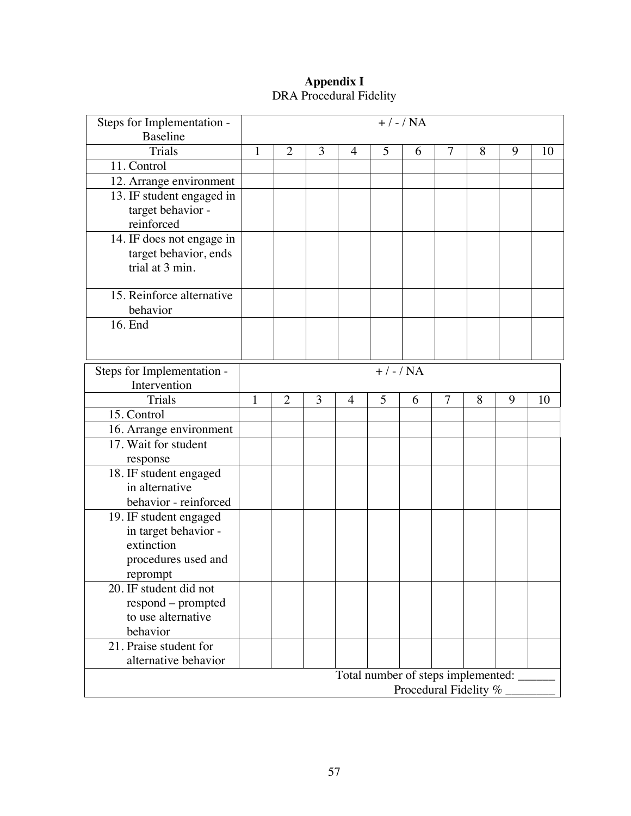## **Appendix I** DRA Procedural Fidelity

| Steps for Implementation -<br><b>Baseline</b> | $+$ / - / NA                       |                |   |                |              |   |   |   |   |    |
|-----------------------------------------------|------------------------------------|----------------|---|----------------|--------------|---|---|---|---|----|
| <b>Trials</b>                                 | 1                                  | $\overline{2}$ | 3 | $\overline{4}$ | 5            | 6 | 7 | 8 | 9 | 10 |
| 11. Control                                   |                                    |                |   |                |              |   |   |   |   |    |
| 12. Arrange environment                       |                                    |                |   |                |              |   |   |   |   |    |
| 13. IF student engaged in                     |                                    |                |   |                |              |   |   |   |   |    |
| target behavior -                             |                                    |                |   |                |              |   |   |   |   |    |
| reinforced                                    |                                    |                |   |                |              |   |   |   |   |    |
| 14. IF does not engage in                     |                                    |                |   |                |              |   |   |   |   |    |
| target behavior, ends                         |                                    |                |   |                |              |   |   |   |   |    |
| trial at 3 min.                               |                                    |                |   |                |              |   |   |   |   |    |
|                                               |                                    |                |   |                |              |   |   |   |   |    |
| 15. Reinforce alternative                     |                                    |                |   |                |              |   |   |   |   |    |
| behavior                                      |                                    |                |   |                |              |   |   |   |   |    |
| 16. End                                       |                                    |                |   |                |              |   |   |   |   |    |
|                                               |                                    |                |   |                |              |   |   |   |   |    |
| Steps for Implementation -                    |                                    |                |   |                | $+$ / - / NA |   |   |   |   |    |
| Intervention                                  |                                    |                |   |                |              |   |   |   |   |    |
| Trials                                        | 1                                  | $\overline{2}$ | 3 | 4              | 5            | 6 | 7 | 8 | 9 | 10 |
| 15. Control                                   |                                    |                |   |                |              |   |   |   |   |    |
| 16. Arrange environment                       |                                    |                |   |                |              |   |   |   |   |    |
| 17. Wait for student                          |                                    |                |   |                |              |   |   |   |   |    |
| response                                      |                                    |                |   |                |              |   |   |   |   |    |
| 18. IF student engaged                        |                                    |                |   |                |              |   |   |   |   |    |
| in alternative                                |                                    |                |   |                |              |   |   |   |   |    |
| behavior - reinforced                         |                                    |                |   |                |              |   |   |   |   |    |
| 19. IF student engaged                        |                                    |                |   |                |              |   |   |   |   |    |
| in target behavior -                          |                                    |                |   |                |              |   |   |   |   |    |
| extinction                                    |                                    |                |   |                |              |   |   |   |   |    |
| procedures used and                           |                                    |                |   |                |              |   |   |   |   |    |
| reprompt                                      |                                    |                |   |                |              |   |   |   |   |    |
| 20. IF student did not                        |                                    |                |   |                |              |   |   |   |   |    |
| respond - prompted                            |                                    |                |   |                |              |   |   |   |   |    |
| to use alternative                            |                                    |                |   |                |              |   |   |   |   |    |
| behavior                                      |                                    |                |   |                |              |   |   |   |   |    |
| 21. Praise student for                        |                                    |                |   |                |              |   |   |   |   |    |
| alternative behavior                          |                                    |                |   |                |              |   |   |   |   |    |
|                                               | Total number of steps implemented: |                |   |                |              |   |   |   |   |    |
| Procedural Fidelity %                         |                                    |                |   |                |              |   |   |   |   |    |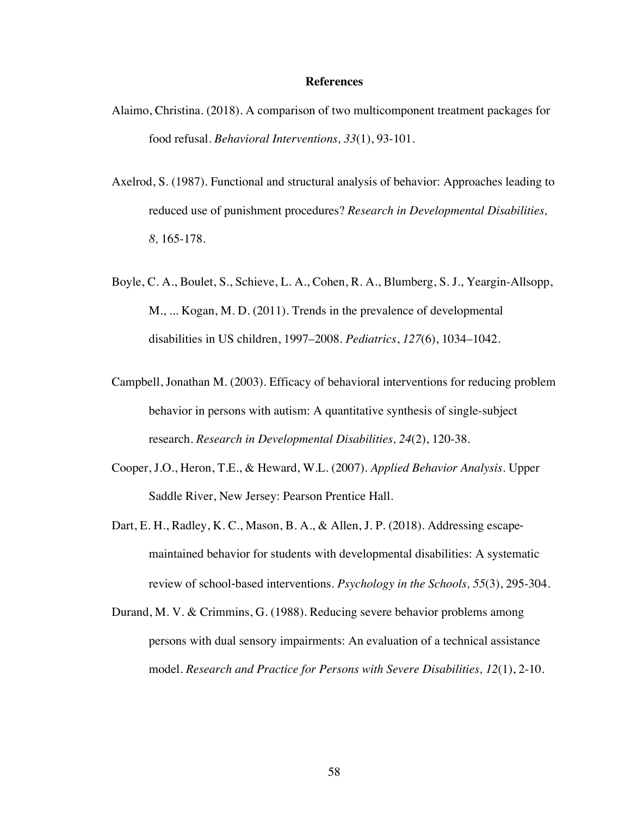#### **References**

- Alaimo, Christina. (2018). A comparison of two multicomponent treatment packages for food refusal. *Behavioral Interventions, 33*(1), 93-101.
- Axelrod, S. (1987). Functional and structural analysis of behavior: Approaches leading to reduced use of punishment procedures? *Research in Developmental Disabilities, 8,* 165-178.
- Boyle, C. A., Boulet, S., Schieve, L. A., Cohen, R. A., Blumberg, S. J., Yeargin-Allsopp, M., ... Kogan, M. D. (2011). Trends in the prevalence of developmental disabilities in US children, 1997–2008. *Pediatrics*, *127*(6), 1034–1042.
- Campbell, Jonathan M. (2003). Efficacy of behavioral interventions for reducing problem behavior in persons with autism: A quantitative synthesis of single-subject research. *Research in Developmental Disabilities, 24*(2), 120-38.
- Cooper, J.O., Heron, T.E., & Heward, W.L. (2007). *Applied Behavior Analysis.* Upper Saddle River, New Jersey: Pearson Prentice Hall.
- Dart, E. H., Radley, K. C., Mason, B. A., & Allen, J. P. (2018). Addressing escapemaintained behavior for students with developmental disabilities: A systematic review of school-based interventions. *Psychology in the Schools, 55*(3), 295-304.
- Durand, M. V. & Crimmins, G. (1988). Reducing severe behavior problems among persons with dual sensory impairments: An evaluation of a technical assistance model. *Research and Practice for Persons with Severe Disabilities, 12*(1), 2-10.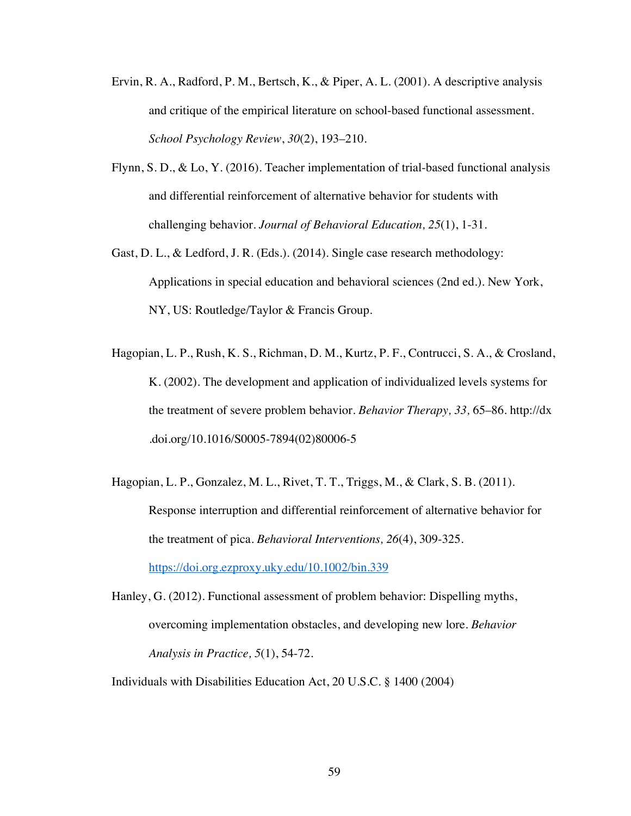- Ervin, R. A., Radford, P. M., Bertsch, K., & Piper, A. L. (2001). A descriptive analysis and critique of the empirical literature on school-based functional assessment. *School Psychology Review*, *30*(2), 193–210.
- Flynn, S. D., & Lo, Y. (2016). Teacher implementation of trial-based functional analysis and differential reinforcement of alternative behavior for students with challenging behavior. *Journal of Behavioral Education, 25*(1), 1-31.
- Gast, D. L., & Ledford, J. R. (Eds.). (2014). Single case research methodology: Applications in special education and behavioral sciences (2nd ed.). New York, NY, US: Routledge/Taylor & Francis Group.
- Hagopian, L. P., Rush, K. S., Richman, D. M., Kurtz, P. F., Contrucci, S. A., & Crosland, K. (2002). The development and application of individualized levels systems for the treatment of severe problem behavior. *Behavior Therapy, 33,* 65–86. http://dx .doi.org/10.1016/S0005-7894(02)80006-5
- Hagopian, L. P., Gonzalez, M. L., Rivet, T. T., Triggs, M., & Clark, S. B. (2011). Response interruption and differential reinforcement of alternative behavior for the treatment of pica. *Behavioral Interventions, 26*(4), 309-325. https://doi.org.ezproxy.uky.edu/10.1002/bin.339

Hanley, G. (2012). Functional assessment of problem behavior: Dispelling myths, overcoming implementation obstacles, and developing new lore. *Behavior Analysis in Practice, 5*(1), 54-72.

Individuals with Disabilities Education Act, 20 U.S.C. § 1400 (2004)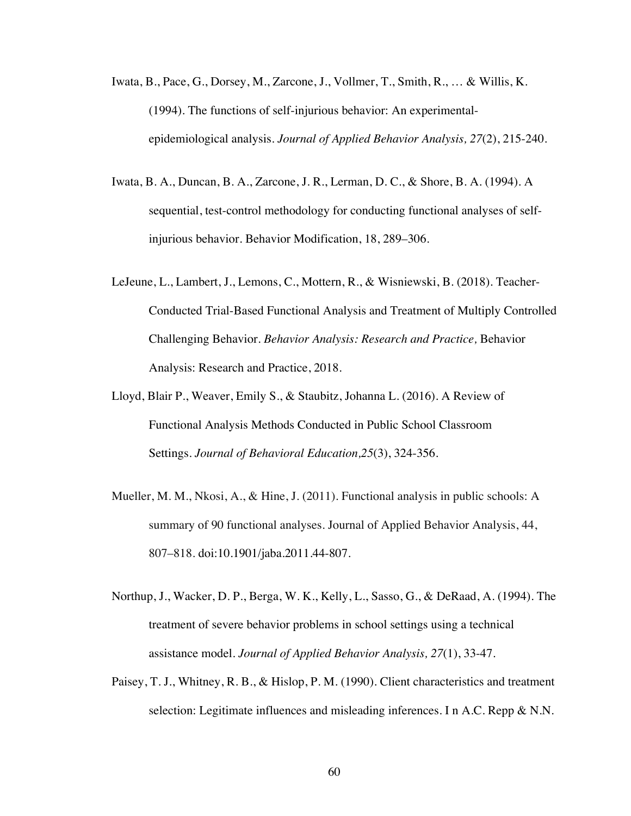- Iwata, B., Pace, G., Dorsey, M., Zarcone, J., Vollmer, T., Smith, R., … & Willis, K. (1994). The functions of self-injurious behavior: An experimentalepidemiological analysis. *Journal of Applied Behavior Analysis, 27*(2), 215-240.
- Iwata, B. A., Duncan, B. A., Zarcone, J. R., Lerman, D. C., & Shore, B. A. (1994). A sequential, test-control methodology for conducting functional analyses of selfinjurious behavior. Behavior Modification, 18, 289–306.
- LeJeune, L., Lambert, J., Lemons, C., Mottern, R., & Wisniewski, B. (2018). Teacher-Conducted Trial-Based Functional Analysis and Treatment of Multiply Controlled Challenging Behavior. *Behavior Analysis: Research and Practice,* Behavior Analysis: Research and Practice, 2018.
- Lloyd, Blair P., Weaver, Emily S., & Staubitz, Johanna L. (2016). A Review of Functional Analysis Methods Conducted in Public School Classroom Settings. *Journal of Behavioral Education,25*(3), 324-356.
- Mueller, M. M., Nkosi, A., & Hine, J. (2011). Functional analysis in public schools: A summary of 90 functional analyses. Journal of Applied Behavior Analysis, 44, 807–818. doi:10.1901/jaba.2011.44-807.
- Northup, J., Wacker, D. P., Berga, W. K., Kelly, L., Sasso, G., & DeRaad, A. (1994). The treatment of severe behavior problems in school settings using a technical assistance model. *Journal of Applied Behavior Analysis, 27*(1), 33-47.
- Paisey, T. J., Whitney, R. B., & Hislop, P. M. (1990). Client characteristics and treatment selection: Legitimate influences and misleading inferences. I n A.C. Repp & N.N.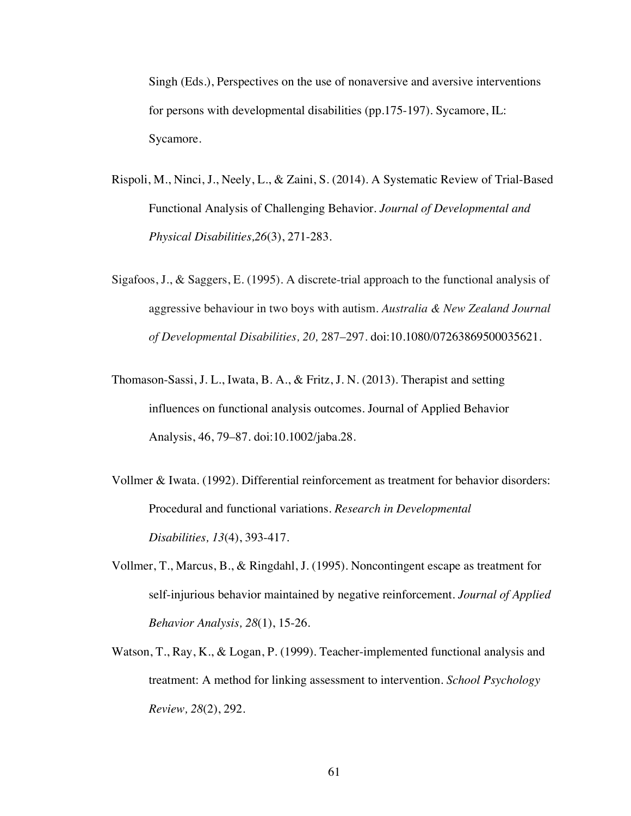Singh (Eds.), Perspectives on the use of nonaversive and aversive interventions for persons with developmental disabilities (pp.175-197). Sycamore, IL: Sycamore.

- Rispoli, M., Ninci, J., Neely, L., & Zaini, S. (2014). A Systematic Review of Trial-Based Functional Analysis of Challenging Behavior. *Journal of Developmental and Physical Disabilities,26*(3), 271-283.
- Sigafoos, J., & Saggers, E. (1995). A discrete-trial approach to the functional analysis of aggressive behaviour in two boys with autism. *Australia & New Zealand Journal of Developmental Disabilities, 20,* 287–297. doi:10.1080/07263869500035621.
- Thomason-Sassi, J. L., Iwata, B. A., & Fritz, J. N. (2013). Therapist and setting influences on functional analysis outcomes. Journal of Applied Behavior Analysis, 46, 79–87. doi:10.1002/jaba.28.
- Vollmer & Iwata. (1992). Differential reinforcement as treatment for behavior disorders: Procedural and functional variations. *Research in Developmental Disabilities, 13*(4), 393-417.
- Vollmer, T., Marcus, B., & Ringdahl, J. (1995). Noncontingent escape as treatment for self-injurious behavior maintained by negative reinforcement. *Journal of Applied Behavior Analysis, 28*(1), 15-26.
- Watson, T., Ray, K., & Logan, P. (1999). Teacher-implemented functional analysis and treatment: A method for linking assessment to intervention. *School Psychology Review, 28*(2), 292.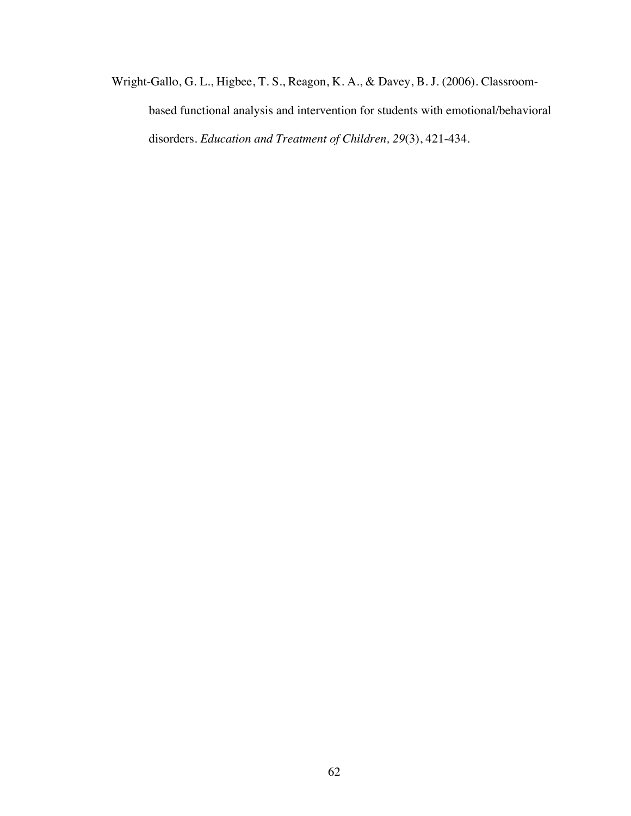Wright-Gallo, G. L., Higbee, T. S., Reagon, K. A., & Davey, B. J. (2006). Classroombased functional analysis and intervention for students with emotional/behavioral disorders. *Education and Treatment of Children, 29*(3), 421-434.